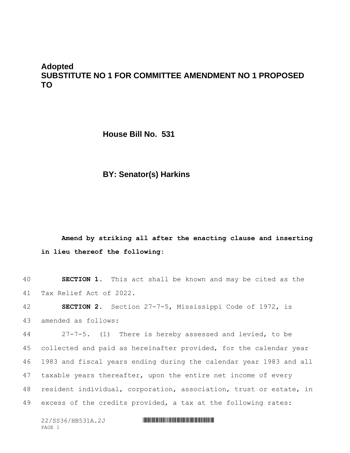## **Adopted SUBSTITUTE NO 1 FOR COMMITTEE AMENDMENT NO 1 PROPOSED TO**

**House Bill No. 531**

### **BY: Senator(s) Harkins**

# **Amend by striking all after the enacting clause and inserting in lieu thereof the following:**

40 **SECTION 1.** This act shall be known and may be cited as the 41 Tax Relief Act of 2022.

42 **SECTION 2.** Section 27-7-5, Mississippi Code of 1972, is 43 amended as follows:

 27-7-5. (1) There is hereby assessed and levied, to be 45 collected and paid as hereinafter provided, for the calendar year 1983 and fiscal years ending during the calendar year 1983 and all taxable years thereafter, upon the entire net income of every resident individual, corporation, association, trust or estate, in excess of the credits provided, a tax at the following rates: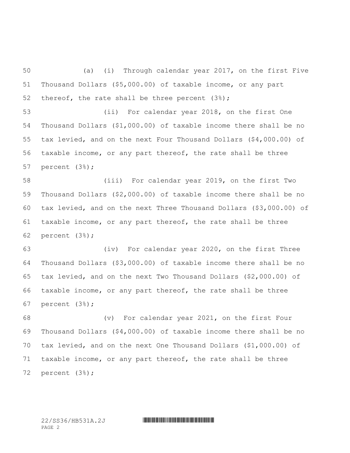(a) (i) Through calendar year 2017, on the first Five Thousand Dollars (\$5,000.00) of taxable income, or any part thereof, the rate shall be three percent (3%);

 (ii) For calendar year 2018, on the first One Thousand Dollars (\$1,000.00) of taxable income there shall be no tax levied, and on the next Four Thousand Dollars (\$4,000.00) of taxable income, or any part thereof, the rate shall be three percent (3%);

 (iii) For calendar year 2019, on the first Two Thousand Dollars (\$2,000.00) of taxable income there shall be no tax levied, and on the next Three Thousand Dollars (\$3,000.00) of taxable income, or any part thereof, the rate shall be three percent (3%);

 (iv) For calendar year 2020, on the first Three Thousand Dollars (\$3,000.00) of taxable income there shall be no tax levied, and on the next Two Thousand Dollars (\$2,000.00) of taxable income, or any part thereof, the rate shall be three percent (3%);

 (v) For calendar year 2021, on the first Four Thousand Dollars (\$4,000.00) of taxable income there shall be no tax levied, and on the next One Thousand Dollars (\$1,000.00) of taxable income, or any part thereof, the rate shall be three percent (3%);

PAGE 2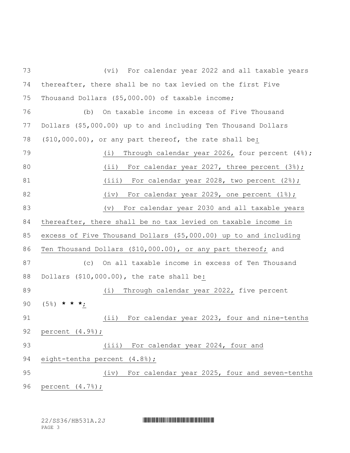(vi) For calendar year 2022 and all taxable years thereafter, there shall be no tax levied on the first Five Thousand Dollars (\$5,000.00) of taxable income; (b) On taxable income in excess of Five Thousand Dollars (\$5,000.00) up to and including Ten Thousand Dollars (\$10,000.00), or any part thereof, the rate shall be: (i) Through calendar year 2026, four percent (4%); 80 (ii) For calendar year 2027, three percent (3%); 81 (iii) For calendar year 2028, two percent (2%); 82 (iv) For calendar year 2029, one percent (1%); (v) For calendar year 2030 and all taxable years thereafter, there shall be no tax levied on taxable income in excess of Five Thousand Dollars (\$5,000.00) up to and including Ten Thousand Dollars (\$10,000.00), or any part thereof; and (c) On all taxable income in excess of Ten Thousand Dollars (\$10,000.00), the rate shall be: 89 (i) Through calendar year 2022, five percent (5%) **\* \* \***; 91 (ii) For calendar year 2023, four and nine-tenths percent (4.9%); (iii) For calendar year 2024, four and 94 eight-tenths percent (4.8%); (iv) For calendar year 2025, four and seven-tenths percent (4.7%);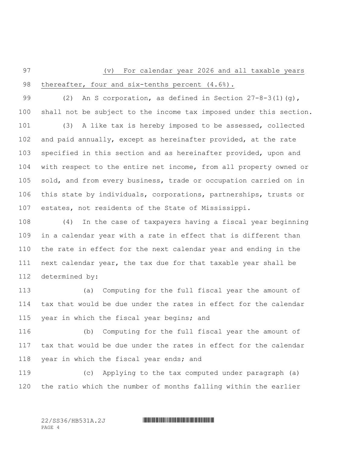# (v) For calendar year 2026 and all taxable years 98 thereafter, four and six-tenths percent (4.6%).

 (2) An S corporation, as defined in Section 27-8-3(1)(g), shall not be subject to the income tax imposed under this section. (3) A like tax is hereby imposed to be assessed, collected and paid annually, except as hereinafter provided, at the rate specified in this section and as hereinafter provided, upon and with respect to the entire net income, from all property owned or sold, and from every business, trade or occupation carried on in this state by individuals, corporations, partnerships, trusts or estates, not residents of the State of Mississippi.

 (4) In the case of taxpayers having a fiscal year beginning in a calendar year with a rate in effect that is different than the rate in effect for the next calendar year and ending in the next calendar year, the tax due for that taxable year shall be determined by:

 (a) Computing for the full fiscal year the amount of tax that would be due under the rates in effect for the calendar 115 year in which the fiscal year begins; and

 (b) Computing for the full fiscal year the amount of tax that would be due under the rates in effect for the calendar 118 year in which the fiscal year ends; and

 (c) Applying to the tax computed under paragraph (a) the ratio which the number of months falling within the earlier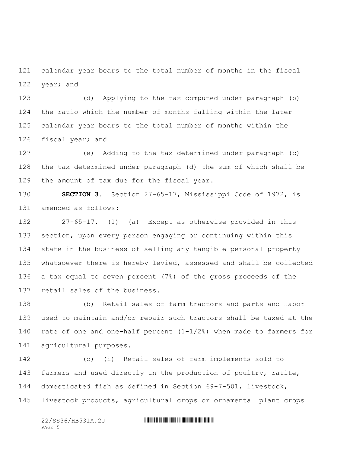calendar year bears to the total number of months in the fiscal year; and

 (d) Applying to the tax computed under paragraph (b) the ratio which the number of months falling within the later calendar year bears to the total number of months within the fiscal year; and

 (e) Adding to the tax determined under paragraph (c) the tax determined under paragraph (d) the sum of which shall be the amount of tax due for the fiscal year.

 **SECTION 3.** Section 27-65-17, Mississippi Code of 1972, is amended as follows:

 27-65-17. (1) (a) Except as otherwise provided in this section, upon every person engaging or continuing within this state in the business of selling any tangible personal property whatsoever there is hereby levied, assessed and shall be collected a tax equal to seven percent (7%) of the gross proceeds of the retail sales of the business.

 (b) Retail sales of farm tractors and parts and labor used to maintain and/or repair such tractors shall be taxed at the rate of one and one-half percent (1-1/2%) when made to farmers for agricultural purposes.

 (c) (i) Retail sales of farm implements sold to farmers and used directly in the production of poultry, ratite, domesticated fish as defined in Section 69-7-501, livestock, livestock products, agricultural crops or ornamental plant crops

PAGE 5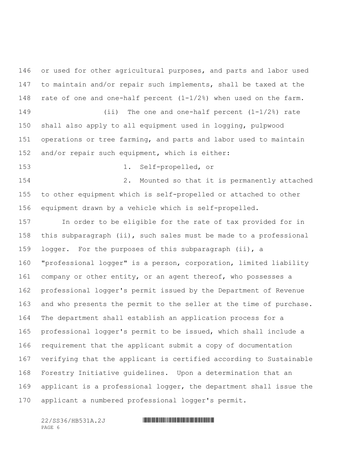146 or used for other agricultural purposes, and parts and labor used to maintain and/or repair such implements, shall be taxed at the 148 rate of one and one-half percent  $(1-1/2)$  when used on the farm. (ii) The one and one-half percent (1-1/2%) rate shall also apply to all equipment used in logging, pulpwood

 operations or tree farming, and parts and labor used to maintain and/or repair such equipment, which is either:

1. Self-propelled, or

 2. Mounted so that it is permanently attached to other equipment which is self-propelled or attached to other equipment drawn by a vehicle which is self-propelled.

 In order to be eligible for the rate of tax provided for in this subparagraph (ii), such sales must be made to a professional logger. For the purposes of this subparagraph (ii), a "professional logger" is a person, corporation, limited liability 161 company or other entity, or an agent thereof, who possesses a professional logger's permit issued by the Department of Revenue and who presents the permit to the seller at the time of purchase. The department shall establish an application process for a professional logger's permit to be issued, which shall include a requirement that the applicant submit a copy of documentation verifying that the applicant is certified according to Sustainable Forestry Initiative guidelines. Upon a determination that an applicant is a professional logger, the department shall issue the applicant a numbered professional logger's permit.

PAGE 6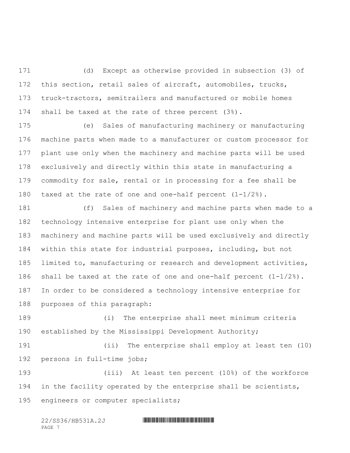(d) Except as otherwise provided in subsection (3) of this section, retail sales of aircraft, automobiles, trucks, truck-tractors, semitrailers and manufactured or mobile homes shall be taxed at the rate of three percent (3%).

 (e) Sales of manufacturing machinery or manufacturing machine parts when made to a manufacturer or custom processor for plant use only when the machinery and machine parts will be used exclusively and directly within this state in manufacturing a commodity for sale, rental or in processing for a fee shall be taxed at the rate of one and one-half percent (1-1/2%).

 (f) Sales of machinery and machine parts when made to a technology intensive enterprise for plant use only when the machinery and machine parts will be used exclusively and directly within this state for industrial purposes, including, but not limited to, manufacturing or research and development activities, shall be taxed at the rate of one and one-half percent (1-1/2%). In order to be considered a technology intensive enterprise for purposes of this paragraph:

 (i) The enterprise shall meet minimum criteria established by the Mississippi Development Authority;

 (ii) The enterprise shall employ at least ten (10) persons in full-time jobs;

 (iii) At least ten percent (10%) of the workforce in the facility operated by the enterprise shall be scientists, engineers or computer specialists;

| 22/SS36/HB531A.2J |  |
|-------------------|--|
| PAGE 7            |  |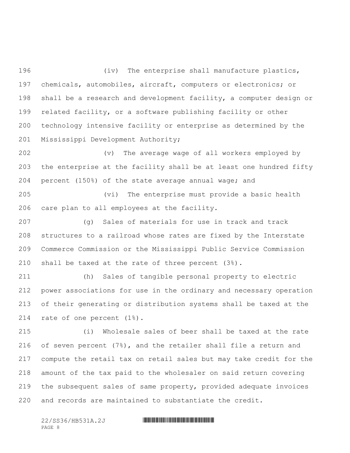(iv) The enterprise shall manufacture plastics, chemicals, automobiles, aircraft, computers or electronics; or shall be a research and development facility, a computer design or related facility, or a software publishing facility or other technology intensive facility or enterprise as determined by the Mississippi Development Authority;

 (v) The average wage of all workers employed by the enterprise at the facility shall be at least one hundred fifty percent (150%) of the state average annual wage; and

 (vi) The enterprise must provide a basic health care plan to all employees at the facility.

 (g) Sales of materials for use in track and track structures to a railroad whose rates are fixed by the Interstate Commerce Commission or the Mississippi Public Service Commission shall be taxed at the rate of three percent (3%).

 (h) Sales of tangible personal property to electric power associations for use in the ordinary and necessary operation of their generating or distribution systems shall be taxed at the rate of one percent (1%).

 (i) Wholesale sales of beer shall be taxed at the rate of seven percent (7%), and the retailer shall file a return and compute the retail tax on retail sales but may take credit for the amount of the tax paid to the wholesaler on said return covering the subsequent sales of same property, provided adequate invoices and records are maintained to substantiate the credit.

PAGE 8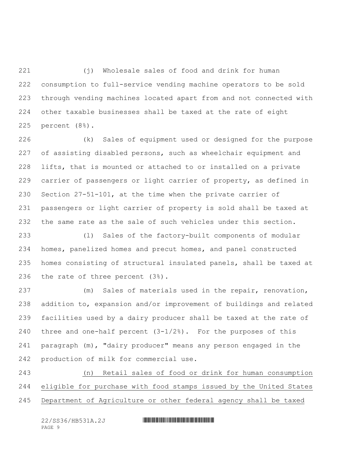(j) Wholesale sales of food and drink for human consumption to full-service vending machine operators to be sold through vending machines located apart from and not connected with other taxable businesses shall be taxed at the rate of eight percent (8%).

 (k) Sales of equipment used or designed for the purpose of assisting disabled persons, such as wheelchair equipment and lifts, that is mounted or attached to or installed on a private carrier of passengers or light carrier of property, as defined in Section 27-51-101, at the time when the private carrier of passengers or light carrier of property is sold shall be taxed at the same rate as the sale of such vehicles under this section.

 (l) Sales of the factory-built components of modular homes, panelized homes and precut homes, and panel constructed homes consisting of structural insulated panels, shall be taxed at the rate of three percent (3%).

 (m) Sales of materials used in the repair, renovation, addition to, expansion and/or improvement of buildings and related facilities used by a dairy producer shall be taxed at the rate of 240 three and one-half percent  $(3-1/2)$ . For the purposes of this paragraph (m), "dairy producer" means any person engaged in the production of milk for commercial use.

 (n) Retail sales of food or drink for human consumption eligible for purchase with food stamps issued by the United States Department of Agriculture or other federal agency shall be taxed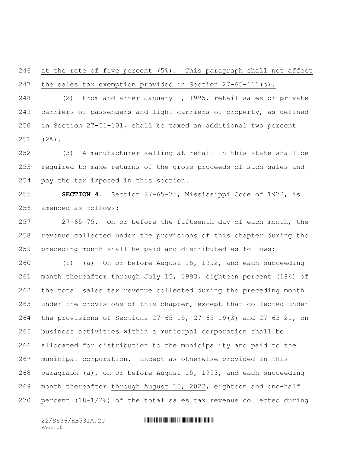at the rate of five percent (5%). This paragraph shall not affect the sales tax exemption provided in Section 27-65-111(o).

 (2) From and after January 1, 1995, retail sales of private carriers of passengers and light carriers of property, as defined in Section 27-51-101, shall be taxed an additional two percent (2%).

 (3) A manufacturer selling at retail in this state shall be required to make returns of the gross proceeds of such sales and pay the tax imposed in this section.

 **SECTION 4.** Section 27-65-75, Mississippi Code of 1972, is amended as follows:

 27-65-75. On or before the fifteenth day of each month, the revenue collected under the provisions of this chapter during the preceding month shall be paid and distributed as follows:

 (1) (a) On or before August 15, 1992, and each succeeding month thereafter through July 15, 1993, eighteen percent (18%) of the total sales tax revenue collected during the preceding month under the provisions of this chapter, except that collected under the provisions of Sections 27-65-15, 27-65-19(3) and 27-65-21, on business activities within a municipal corporation shall be allocated for distribution to the municipality and paid to the municipal corporation. Except as otherwise provided in this paragraph (a), on or before August 15, 1993, and each succeeding 269 month thereafter through August 15, 2022, eighteen and one-half 270 percent  $(18-1/2)$  of the total sales tax revenue collected during

PAGE 10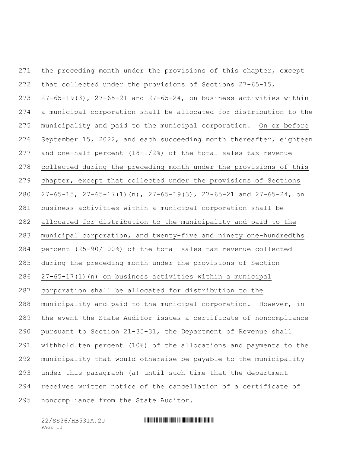271 the preceding month under the provisions of this chapter, except that collected under the provisions of Sections 27-65-15, 27-65-19(3), 27-65-21 and 27-65-24, on business activities within a municipal corporation shall be allocated for distribution to the municipality and paid to the municipal corporation. On or before September 15, 2022, and each succeeding month thereafter, eighteen and one-half percent (18-1/2%) of the total sales tax revenue collected during the preceding month under the provisions of this chapter, except that collected under the provisions of Sections 27-65-15, 27-65-17(1)(n), 27-65-19(3), 27-65-21 and 27-65-24, on business activities within a municipal corporation shall be allocated for distribution to the municipality and paid to the municipal corporation, and twenty-five and ninety one-hundredths percent (25-90/100%) of the total sales tax revenue collected during the preceding month under the provisions of Section 27-65-17(1)(n) on business activities within a municipal corporation shall be allocated for distribution to the municipality and paid to the municipal corporation. However, in the event the State Auditor issues a certificate of noncompliance pursuant to Section 21-35-31, the Department of Revenue shall withhold ten percent (10%) of the allocations and payments to the municipality that would otherwise be payable to the municipality under this paragraph (a) until such time that the department receives written notice of the cancellation of a certificate of noncompliance from the State Auditor.

PAGE 11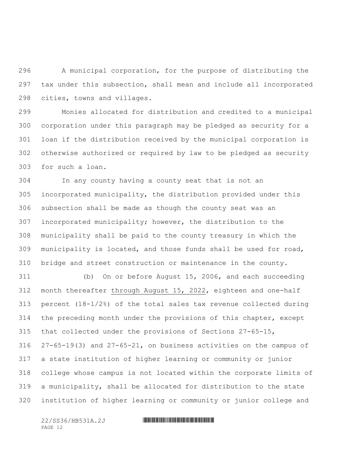A municipal corporation, for the purpose of distributing the tax under this subsection, shall mean and include all incorporated cities, towns and villages.

 Monies allocated for distribution and credited to a municipal corporation under this paragraph may be pledged as security for a loan if the distribution received by the municipal corporation is otherwise authorized or required by law to be pledged as security for such a loan.

 In any county having a county seat that is not an incorporated municipality, the distribution provided under this subsection shall be made as though the county seat was an incorporated municipality; however, the distribution to the municipality shall be paid to the county treasury in which the municipality is located, and those funds shall be used for road, bridge and street construction or maintenance in the county.

 (b) On or before August 15, 2006, and each succeeding month thereafter through August 15, 2022, eighteen and one-half percent (18-1/2%) of the total sales tax revenue collected during the preceding month under the provisions of this chapter, except that collected under the provisions of Sections 27-65-15, 27-65-19(3) and 27-65-21, on business activities on the campus of a state institution of higher learning or community or junior college whose campus is not located within the corporate limits of a municipality, shall be allocated for distribution to the state institution of higher learning or community or junior college and

PAGE 12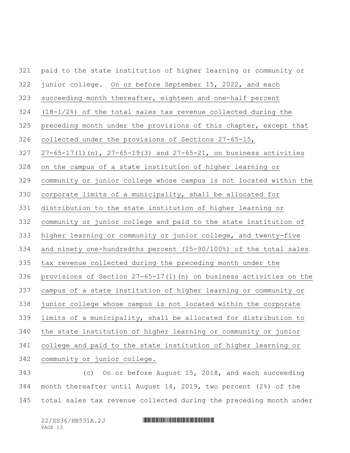paid to the state institution of higher learning or community or junior college. On or before September 15, 2022, and each succeeding month thereafter, eighteen and one-half percent (18-1/2%) of the total sales tax revenue collected during the preceding month under the provisions of this chapter, except that collected under the provisions of Sections 27-65-15, 27-65-17(1)(n), 27-65-19(3) and 27-65-21, on business activities on the campus of a state institution of higher learning or community or junior college whose campus is not located within the corporate limits of a municipality, shall be allocated for distribution to the state institution of higher learning or community or junior college and paid to the state institution of higher learning or community or junior college, and twenty-five and ninety one-hundredths percent (25-90/100%) of the total sales tax revenue collected during the preceding month under the provisions of Section 27-65-17(1)(n) on business activities on the campus of a state institution of higher learning or community or junior college whose campus is not located within the corporate limits of a municipality, shall be allocated for distribution to the state institution of higher learning or community or junior college and paid to the state institution of higher learning or community or junior college. (c) On or before August 15, 2018, and each succeeding

 month thereafter until August 14, 2019, two percent (2%) of the total sales tax revenue collected during the preceding month under

PAGE 13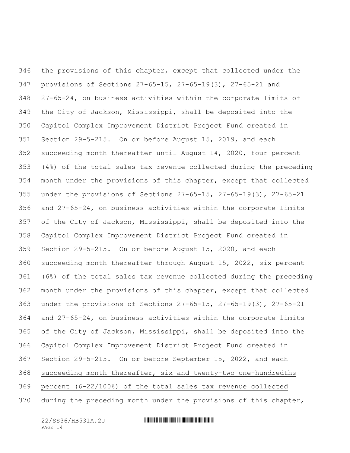the provisions of this chapter, except that collected under the provisions of Sections 27-65-15, 27-65-19(3), 27-65-21 and 27-65-24, on business activities within the corporate limits of the City of Jackson, Mississippi, shall be deposited into the Capitol Complex Improvement District Project Fund created in Section 29-5-215. On or before August 15, 2019, and each succeeding month thereafter until August 14, 2020, four percent (4%) of the total sales tax revenue collected during the preceding month under the provisions of this chapter, except that collected under the provisions of Sections 27-65-15, 27-65-19(3), 27-65-21 and 27-65-24, on business activities within the corporate limits of the City of Jackson, Mississippi, shall be deposited into the Capitol Complex Improvement District Project Fund created in Section 29-5-215. On or before August 15, 2020, and each succeeding month thereafter through August 15, 2022, six percent (6%) of the total sales tax revenue collected during the preceding month under the provisions of this chapter, except that collected under the provisions of Sections 27-65-15, 27-65-19(3), 27-65-21 and 27-65-24, on business activities within the corporate limits of the City of Jackson, Mississippi, shall be deposited into the Capitol Complex Improvement District Project Fund created in Section 29-5-215. On or before September 15, 2022, and each succeeding month thereafter, six and twenty-two one-hundredths percent (6-22/100%) of the total sales tax revenue collected during the preceding month under the provisions of this chapter,

PAGE 14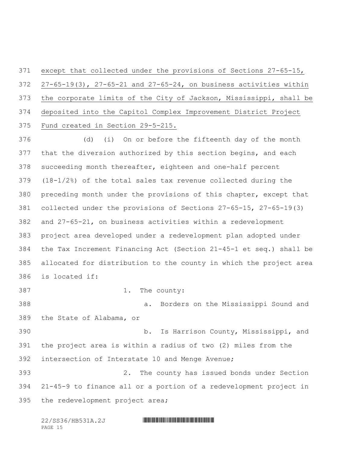except that collected under the provisions of Sections 27-65-15, 27-65-19(3), 27-65-21 and 27-65-24, on business activities within the corporate limits of the City of Jackson, Mississippi, shall be deposited into the Capitol Complex Improvement District Project Fund created in Section 29-5-215.

 (d) (i) On or before the fifteenth day of the month that the diversion authorized by this section begins, and each succeeding month thereafter, eighteen and one-half percent (18-1/2%) of the total sales tax revenue collected during the preceding month under the provisions of this chapter, except that collected under the provisions of Sections 27-65-15, 27-65-19(3) and 27-65-21, on business activities within a redevelopment project area developed under a redevelopment plan adopted under the Tax Increment Financing Act (Section 21-45-1 et seq.) shall be allocated for distribution to the county in which the project area is located if: 1. The county:

 a. Borders on the Mississippi Sound and the State of Alabama, or

 b. Is Harrison County, Mississippi, and the project area is within a radius of two (2) miles from the intersection of Interstate 10 and Menge Avenue;

 2. The county has issued bonds under Section 21-45-9 to finance all or a portion of a redevelopment project in the redevelopment project area;

| 22/SS36/HB531A.2J |  |
|-------------------|--|
| PAGE 15           |  |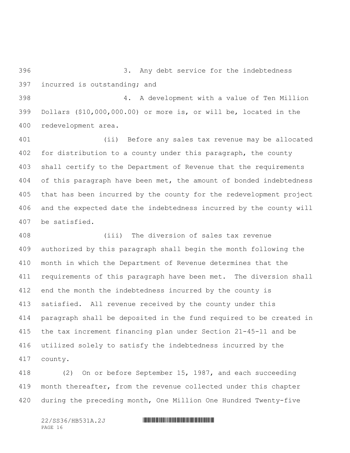3. Any debt service for the indebtedness incurred is outstanding; and

 4. A development with a value of Ten Million Dollars (\$10,000,000.00) or more is, or will be, located in the redevelopment area.

 (ii) Before any sales tax revenue may be allocated for distribution to a county under this paragraph, the county shall certify to the Department of Revenue that the requirements of this paragraph have been met, the amount of bonded indebtedness that has been incurred by the county for the redevelopment project and the expected date the indebtedness incurred by the county will be satisfied.

 (iii) The diversion of sales tax revenue authorized by this paragraph shall begin the month following the month in which the Department of Revenue determines that the requirements of this paragraph have been met. The diversion shall end the month the indebtedness incurred by the county is satisfied. All revenue received by the county under this paragraph shall be deposited in the fund required to be created in the tax increment financing plan under Section 21-45-11 and be utilized solely to satisfy the indebtedness incurred by the county.

 (2) On or before September 15, 1987, and each succeeding month thereafter, from the revenue collected under this chapter during the preceding month, One Million One Hundred Twenty-five

PAGE 16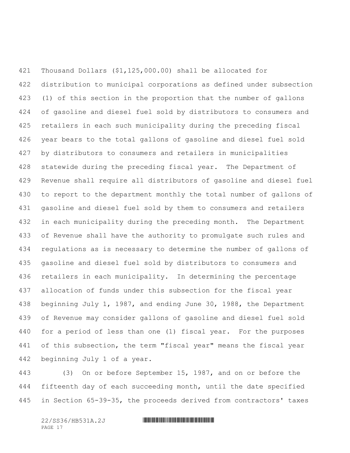Thousand Dollars (\$1,125,000.00) shall be allocated for distribution to municipal corporations as defined under subsection (1) of this section in the proportion that the number of gallons of gasoline and diesel fuel sold by distributors to consumers and retailers in each such municipality during the preceding fiscal year bears to the total gallons of gasoline and diesel fuel sold by distributors to consumers and retailers in municipalities statewide during the preceding fiscal year. The Department of Revenue shall require all distributors of gasoline and diesel fuel to report to the department monthly the total number of gallons of gasoline and diesel fuel sold by them to consumers and retailers 432 in each municipality during the preceding month. The Department of Revenue shall have the authority to promulgate such rules and regulations as is necessary to determine the number of gallons of gasoline and diesel fuel sold by distributors to consumers and retailers in each municipality. In determining the percentage allocation of funds under this subsection for the fiscal year beginning July 1, 1987, and ending June 30, 1988, the Department of Revenue may consider gallons of gasoline and diesel fuel sold for a period of less than one (1) fiscal year. For the purposes 441 of this subsection, the term "fiscal year" means the fiscal year beginning July 1 of a year.

 (3) On or before September 15, 1987, and on or before the fifteenth day of each succeeding month, until the date specified in Section 65-39-35, the proceeds derived from contractors' taxes

PAGE 17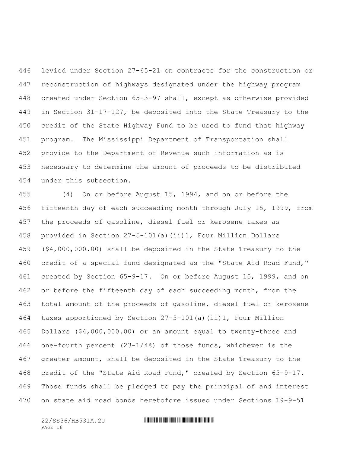levied under Section 27-65-21 on contracts for the construction or reconstruction of highways designated under the highway program created under Section 65-3-97 shall, except as otherwise provided in Section 31-17-127, be deposited into the State Treasury to the credit of the State Highway Fund to be used to fund that highway program. The Mississippi Department of Transportation shall provide to the Department of Revenue such information as is necessary to determine the amount of proceeds to be distributed under this subsection.

 (4) On or before August 15, 1994, and on or before the fifteenth day of each succeeding month through July 15, 1999, from the proceeds of gasoline, diesel fuel or kerosene taxes as provided in Section 27-5-101(a)(ii)1, Four Million Dollars (\$4,000,000.00) shall be deposited in the State Treasury to the credit of a special fund designated as the "State Aid Road Fund," created by Section 65-9-17. On or before August 15, 1999, and on 462 or before the fifteenth day of each succeeding month, from the total amount of the proceeds of gasoline, diesel fuel or kerosene taxes apportioned by Section 27-5-101(a)(ii)1, Four Million Dollars (\$4,000,000.00) or an amount equal to twenty-three and one-fourth percent (23-1/4%) of those funds, whichever is the greater amount, shall be deposited in the State Treasury to the credit of the "State Aid Road Fund," created by Section 65-9-17. Those funds shall be pledged to pay the principal of and interest on state aid road bonds heretofore issued under Sections 19-9-51

PAGE 18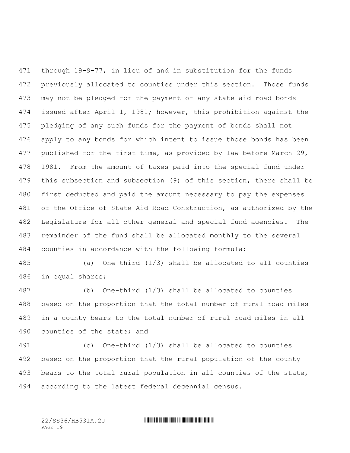through 19-9-77, in lieu of and in substitution for the funds previously allocated to counties under this section. Those funds may not be pledged for the payment of any state aid road bonds issued after April 1, 1981; however, this prohibition against the pledging of any such funds for the payment of bonds shall not apply to any bonds for which intent to issue those bonds has been published for the first time, as provided by law before March 29, 1981. From the amount of taxes paid into the special fund under this subsection and subsection (9) of this section, there shall be first deducted and paid the amount necessary to pay the expenses of the Office of State Aid Road Construction, as authorized by the Legislature for all other general and special fund agencies. The remainder of the fund shall be allocated monthly to the several counties in accordance with the following formula:

 (a) One-third (1/3) shall be allocated to all counties in equal shares;

 (b) One-third (1/3) shall be allocated to counties based on the proportion that the total number of rural road miles in a county bears to the total number of rural road miles in all counties of the state; and

 (c) One-third (1/3) shall be allocated to counties based on the proportion that the rural population of the county bears to the total rural population in all counties of the state, according to the latest federal decennial census.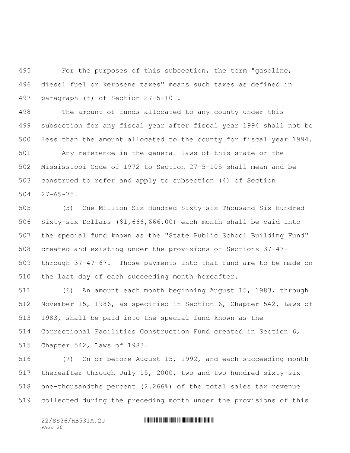For the purposes of this subsection, the term "gasoline, diesel fuel or kerosene taxes" means such taxes as defined in paragraph (f) of Section 27-5-101.

 The amount of funds allocated to any county under this subsection for any fiscal year after fiscal year 1994 shall not be less than the amount allocated to the county for fiscal year 1994.

 Any reference in the general laws of this state or the Mississippi Code of 1972 to Section 27-5-105 shall mean and be construed to refer and apply to subsection (4) of Section 27-65-75.

 (5) One Million Six Hundred Sixty-six Thousand Six Hundred Sixty-six Dollars (\$1,666,666.00) each month shall be paid into the special fund known as the "State Public School Building Fund" created and existing under the provisions of Sections 37-47-1 through 37-47-67. Those payments into that fund are to be made on the last day of each succeeding month hereafter.

 (6) An amount each month beginning August 15, 1983, through November 15, 1986, as specified in Section 6, Chapter 542, Laws of 1983, shall be paid into the special fund known as the Correctional Facilities Construction Fund created in Section 6, Chapter 542, Laws of 1983.

 (7) On or before August 15, 1992, and each succeeding month thereafter through July 15, 2000, two and two hundred sixty-six one-thousandths percent (2.266%) of the total sales tax revenue collected during the preceding month under the provisions of this

PAGE 20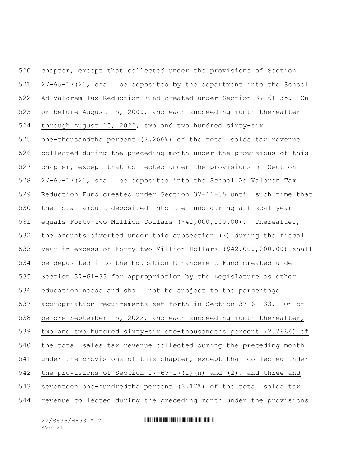chapter, except that collected under the provisions of Section 27-65-17(2), shall be deposited by the department into the School Ad Valorem Tax Reduction Fund created under Section 37-61-35. On or before August 15, 2000, and each succeeding month thereafter through August 15, 2022, two and two hundred sixty-six one-thousandths percent (2.266%) of the total sales tax revenue collected during the preceding month under the provisions of this chapter, except that collected under the provisions of Section 27-65-17(2), shall be deposited into the School Ad Valorem Tax Reduction Fund created under Section 37-61-35 until such time that the total amount deposited into the fund during a fiscal year equals Forty-two Million Dollars (\$42,000,000.00). Thereafter, the amounts diverted under this subsection (7) during the fiscal year in excess of Forty-two Million Dollars (\$42,000,000.00) shall be deposited into the Education Enhancement Fund created under Section 37-61-33 for appropriation by the Legislature as other education needs and shall not be subject to the percentage appropriation requirements set forth in Section 37-61-33. On or before September 15, 2022, and each succeeding month thereafter, two and two hundred sixty-six one-thousandths percent (2.266%) of the total sales tax revenue collected during the preceding month under the provisions of this chapter, except that collected under the provisions of Section 27-65-17(1)(n) and (2), and three and seventeen one-hundredths percent (3.17%) of the total sales tax revenue collected during the preceding month under the provisions

PAGE 21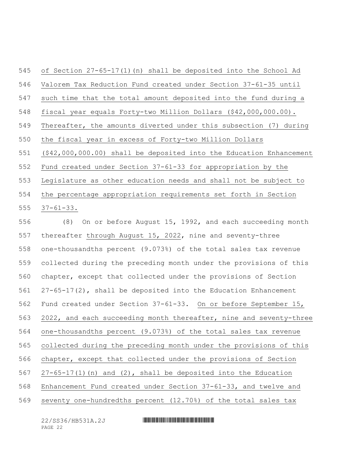of Section 27-65-17(1)(n) shall be deposited into the School Ad Valorem Tax Reduction Fund created under Section 37-61-35 until such time that the total amount deposited into the fund during a fiscal year equals Forty-two Million Dollars (\$42,000,000.00). Thereafter, the amounts diverted under this subsection (7) during the fiscal year in excess of Forty-two Million Dollars (\$42,000,000.00) shall be deposited into the Education Enhancement Fund created under Section 37-61-33 for appropriation by the Legislature as other education needs and shall not be subject to the percentage appropriation requirements set forth in Section 37-61-33.

 (8) On or before August 15, 1992, and each succeeding month 557 thereafter through August 15, 2022, nine and seventy-three one-thousandths percent (9.073%) of the total sales tax revenue collected during the preceding month under the provisions of this chapter, except that collected under the provisions of Section 27-65-17(2), shall be deposited into the Education Enhancement Fund created under Section 37-61-33. On or before September 15, 2022, and each succeeding month thereafter, nine and seventy-three one-thousandths percent (9.073%) of the total sales tax revenue collected during the preceding month under the provisions of this chapter, except that collected under the provisions of Section 27-65-17(1)(n) and (2), shall be deposited into the Education Enhancement Fund created under Section 37-61-33, and twelve and seventy one-hundredths percent (12.70%) of the total sales tax

PAGE 22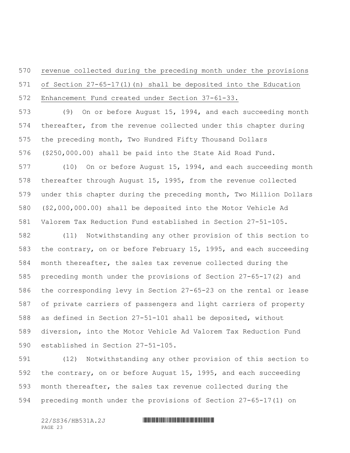# revenue collected during the preceding month under the provisions of Section 27-65-17(1)(n) shall be deposited into the Education Enhancement Fund created under Section 37-61-33.

 (9) On or before August 15, 1994, and each succeeding month thereafter, from the revenue collected under this chapter during the preceding month, Two Hundred Fifty Thousand Dollars (\$250,000.00) shall be paid into the State Aid Road Fund.

 (10) On or before August 15, 1994, and each succeeding month thereafter through August 15, 1995, from the revenue collected under this chapter during the preceding month, Two Million Dollars (\$2,000,000.00) shall be deposited into the Motor Vehicle Ad Valorem Tax Reduction Fund established in Section 27-51-105.

 (11) Notwithstanding any other provision of this section to the contrary, on or before February 15, 1995, and each succeeding month thereafter, the sales tax revenue collected during the preceding month under the provisions of Section 27-65-17(2) and the corresponding levy in Section 27-65-23 on the rental or lease of private carriers of passengers and light carriers of property as defined in Section 27-51-101 shall be deposited, without diversion, into the Motor Vehicle Ad Valorem Tax Reduction Fund established in Section 27-51-105.

 (12) Notwithstanding any other provision of this section to the contrary, on or before August 15, 1995, and each succeeding month thereafter, the sales tax revenue collected during the preceding month under the provisions of Section 27-65-17(1) on

PAGE 23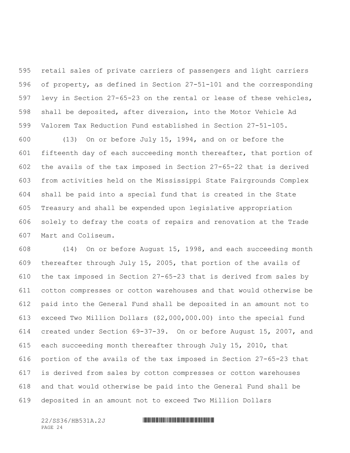retail sales of private carriers of passengers and light carriers of property, as defined in Section 27-51-101 and the corresponding levy in Section 27-65-23 on the rental or lease of these vehicles, shall be deposited, after diversion, into the Motor Vehicle Ad Valorem Tax Reduction Fund established in Section 27-51-105.

 (13) On or before July 15, 1994, and on or before the fifteenth day of each succeeding month thereafter, that portion of the avails of the tax imposed in Section 27-65-22 that is derived from activities held on the Mississippi State Fairgrounds Complex shall be paid into a special fund that is created in the State Treasury and shall be expended upon legislative appropriation solely to defray the costs of repairs and renovation at the Trade Mart and Coliseum.

 (14) On or before August 15, 1998, and each succeeding month thereafter through July 15, 2005, that portion of the avails of the tax imposed in Section 27-65-23 that is derived from sales by cotton compresses or cotton warehouses and that would otherwise be paid into the General Fund shall be deposited in an amount not to exceed Two Million Dollars (\$2,000,000.00) into the special fund created under Section 69-37-39. On or before August 15, 2007, and each succeeding month thereafter through July 15, 2010, that portion of the avails of the tax imposed in Section 27-65-23 that is derived from sales by cotton compresses or cotton warehouses and that would otherwise be paid into the General Fund shall be deposited in an amount not to exceed Two Million Dollars

PAGE 24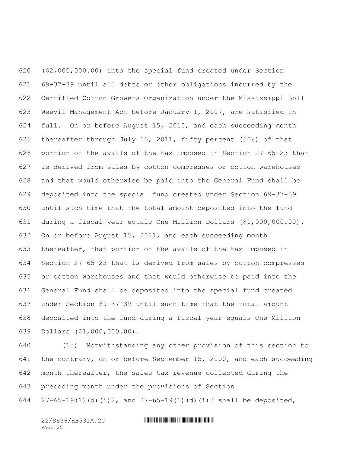(\$2,000,000.00) into the special fund created under Section 69-37-39 until all debts or other obligations incurred by the Certified Cotton Growers Organization under the Mississippi Boll Weevil Management Act before January 1, 2007, are satisfied in full. On or before August 15, 2010, and each succeeding month thereafter through July 15, 2011, fifty percent (50%) of that portion of the avails of the tax imposed in Section 27-65-23 that is derived from sales by cotton compresses or cotton warehouses and that would otherwise be paid into the General Fund shall be deposited into the special fund created under Section 69-37-39 until such time that the total amount deposited into the fund during a fiscal year equals One Million Dollars (\$1,000,000.00). On or before August 15, 2011, and each succeeding month thereafter, that portion of the avails of the tax imposed in Section 27-65-23 that is derived from sales by cotton compresses or cotton warehouses and that would otherwise be paid into the General Fund shall be deposited into the special fund created under Section 69-37-39 until such time that the total amount deposited into the fund during a fiscal year equals One Million Dollars (\$1,000,000.00).

 (15) Notwithstanding any other provision of this section to the contrary, on or before September 15, 2000, and each succeeding month thereafter, the sales tax revenue collected during the preceding month under the provisions of Section 27-65-19(1)(d)(i)2, and 27-65-19(1)(d)(i)3 shall be deposited,

PAGE 25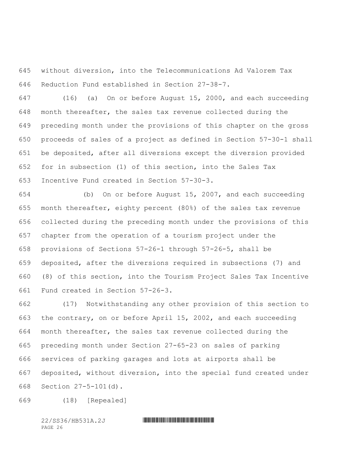without diversion, into the Telecommunications Ad Valorem Tax Reduction Fund established in Section 27-38-7.

 (16) (a) On or before August 15, 2000, and each succeeding month thereafter, the sales tax revenue collected during the preceding month under the provisions of this chapter on the gross proceeds of sales of a project as defined in Section 57-30-1 shall be deposited, after all diversions except the diversion provided for in subsection (1) of this section, into the Sales Tax Incentive Fund created in Section 57-30-3.

 (b) On or before August 15, 2007, and each succeeding month thereafter, eighty percent (80%) of the sales tax revenue collected during the preceding month under the provisions of this chapter from the operation of a tourism project under the provisions of Sections 57-26-1 through 57-26-5, shall be deposited, after the diversions required in subsections (7) and (8) of this section, into the Tourism Project Sales Tax Incentive Fund created in Section 57-26-3.

 (17) Notwithstanding any other provision of this section to the contrary, on or before April 15, 2002, and each succeeding month thereafter, the sales tax revenue collected during the preceding month under Section 27-65-23 on sales of parking services of parking garages and lots at airports shall be deposited, without diversion, into the special fund created under Section 27-5-101(d).

(18) [Repealed]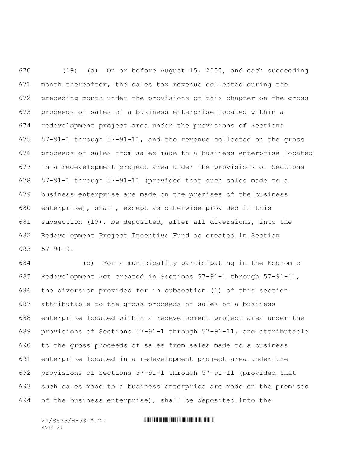(19) (a) On or before August 15, 2005, and each succeeding month thereafter, the sales tax revenue collected during the preceding month under the provisions of this chapter on the gross proceeds of sales of a business enterprise located within a redevelopment project area under the provisions of Sections 57-91-1 through 57-91-11, and the revenue collected on the gross proceeds of sales from sales made to a business enterprise located in a redevelopment project area under the provisions of Sections 57-91-1 through 57-91-11 (provided that such sales made to a business enterprise are made on the premises of the business enterprise), shall, except as otherwise provided in this subsection (19), be deposited, after all diversions, into the Redevelopment Project Incentive Fund as created in Section 57-91-9.

 (b) For a municipality participating in the Economic Redevelopment Act created in Sections 57-91-1 through 57-91-11, the diversion provided for in subsection (1) of this section attributable to the gross proceeds of sales of a business enterprise located within a redevelopment project area under the provisions of Sections 57-91-1 through 57-91-11, and attributable to the gross proceeds of sales from sales made to a business enterprise located in a redevelopment project area under the provisions of Sections 57-91-1 through 57-91-11 (provided that such sales made to a business enterprise are made on the premises of the business enterprise), shall be deposited into the

PAGE 27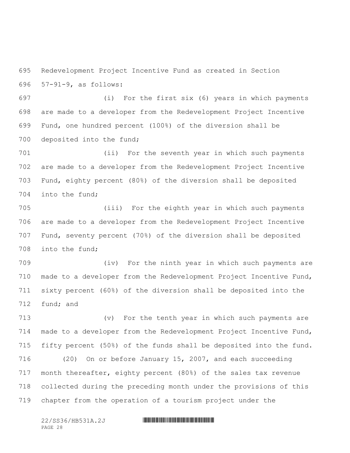Redevelopment Project Incentive Fund as created in Section 57-91-9, as follows:

 (i) For the first six (6) years in which payments are made to a developer from the Redevelopment Project Incentive Fund, one hundred percent (100%) of the diversion shall be deposited into the fund;

 (ii) For the seventh year in which such payments are made to a developer from the Redevelopment Project Incentive Fund, eighty percent (80%) of the diversion shall be deposited into the fund;

 (iii) For the eighth year in which such payments are made to a developer from the Redevelopment Project Incentive Fund, seventy percent (70%) of the diversion shall be deposited into the fund;

 (iv) For the ninth year in which such payments are made to a developer from the Redevelopment Project Incentive Fund, sixty percent (60%) of the diversion shall be deposited into the fund; and

 (v) For the tenth year in which such payments are made to a developer from the Redevelopment Project Incentive Fund, fifty percent (50%) of the funds shall be deposited into the fund. (20) On or before January 15, 2007, and each succeeding month thereafter, eighty percent (80%) of the sales tax revenue collected during the preceding month under the provisions of this chapter from the operation of a tourism project under the

PAGE 28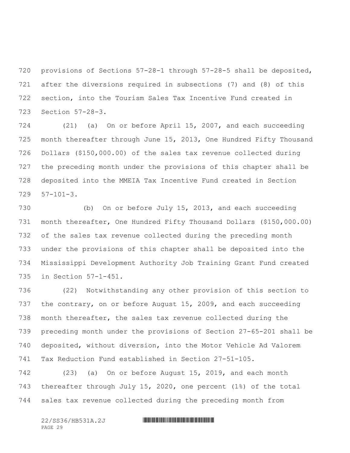provisions of Sections 57-28-1 through 57-28-5 shall be deposited, after the diversions required in subsections (7) and (8) of this section, into the Tourism Sales Tax Incentive Fund created in Section 57-28-3.

 (21) (a) On or before April 15, 2007, and each succeeding month thereafter through June 15, 2013, One Hundred Fifty Thousand Dollars (\$150,000.00) of the sales tax revenue collected during the preceding month under the provisions of this chapter shall be deposited into the MMEIA Tax Incentive Fund created in Section 57-101-3.

 (b) On or before July 15, 2013, and each succeeding month thereafter, One Hundred Fifty Thousand Dollars (\$150,000.00) of the sales tax revenue collected during the preceding month under the provisions of this chapter shall be deposited into the Mississippi Development Authority Job Training Grant Fund created in Section 57-1-451.

 (22) Notwithstanding any other provision of this section to 737 the contrary, on or before August 15, 2009, and each succeeding month thereafter, the sales tax revenue collected during the preceding month under the provisions of Section 27-65-201 shall be deposited, without diversion, into the Motor Vehicle Ad Valorem Tax Reduction Fund established in Section 27-51-105.

 (23) (a) On or before August 15, 2019, and each month thereafter through July 15, 2020, one percent (1%) of the total sales tax revenue collected during the preceding month from

PAGE 29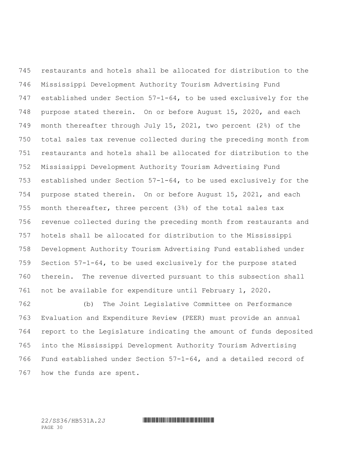restaurants and hotels shall be allocated for distribution to the Mississippi Development Authority Tourism Advertising Fund established under Section 57-1-64, to be used exclusively for the purpose stated therein. On or before August 15, 2020, and each month thereafter through July 15, 2021, two percent (2%) of the total sales tax revenue collected during the preceding month from restaurants and hotels shall be allocated for distribution to the Mississippi Development Authority Tourism Advertising Fund established under Section 57-1-64, to be used exclusively for the purpose stated therein. On or before August 15, 2021, and each month thereafter, three percent (3%) of the total sales tax revenue collected during the preceding month from restaurants and hotels shall be allocated for distribution to the Mississippi Development Authority Tourism Advertising Fund established under Section 57-1-64, to be used exclusively for the purpose stated therein. The revenue diverted pursuant to this subsection shall not be available for expenditure until February 1, 2020.

 (b) The Joint Legislative Committee on Performance Evaluation and Expenditure Review (PEER) must provide an annual report to the Legislature indicating the amount of funds deposited into the Mississippi Development Authority Tourism Advertising Fund established under Section 57-1-64, and a detailed record of how the funds are spent.

PAGE 30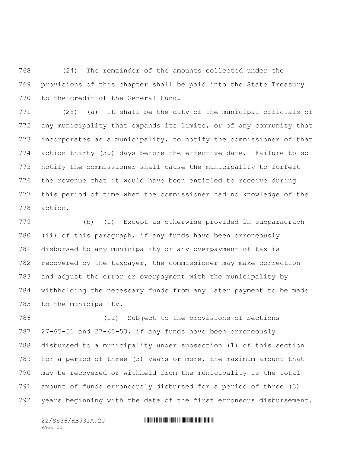(24) The remainder of the amounts collected under the provisions of this chapter shall be paid into the State Treasury to the credit of the General Fund.

 (25) (a) It shall be the duty of the municipal officials of any municipality that expands its limits, or of any community that incorporates as a municipality, to notify the commissioner of that action thirty (30) days before the effective date. Failure to so notify the commissioner shall cause the municipality to forfeit the revenue that it would have been entitled to receive during this period of time when the commissioner had no knowledge of the action.

 (b) (i) Except as otherwise provided in subparagraph (ii) of this paragraph, if any funds have been erroneously disbursed to any municipality or any overpayment of tax is recovered by the taxpayer, the commissioner may make correction and adjust the error or overpayment with the municipality by withholding the necessary funds from any later payment to be made to the municipality.

 (ii) Subject to the provisions of Sections 27-65-51 and 27-65-53, if any funds have been erroneously disbursed to a municipality under subsection (1) of this section for a period of three (3) years or more, the maximum amount that may be recovered or withheld from the municipality is the total amount of funds erroneously disbursed for a period of three (3) years beginning with the date of the first erroneous disbursement.

PAGE 31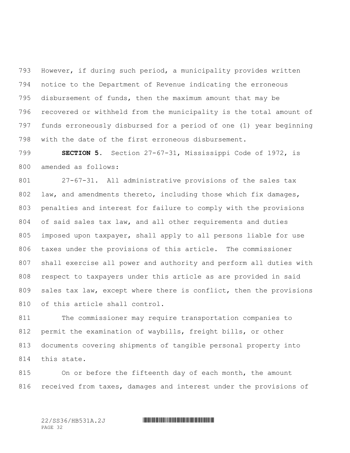However, if during such period, a municipality provides written notice to the Department of Revenue indicating the erroneous disbursement of funds, then the maximum amount that may be recovered or withheld from the municipality is the total amount of funds erroneously disbursed for a period of one (1) year beginning with the date of the first erroneous disbursement.

 **SECTION 5.** Section 27-67-31, Mississippi Code of 1972, is amended as follows:

 27-67-31. All administrative provisions of the sales tax law, and amendments thereto, including those which fix damages, penalties and interest for failure to comply with the provisions of said sales tax law, and all other requirements and duties imposed upon taxpayer, shall apply to all persons liable for use taxes under the provisions of this article. The commissioner shall exercise all power and authority and perform all duties with respect to taxpayers under this article as are provided in said sales tax law, except where there is conflict, then the provisions of this article shall control.

 The commissioner may require transportation companies to permit the examination of waybills, freight bills, or other documents covering shipments of tangible personal property into this state.

 On or before the fifteenth day of each month, the amount 816 received from taxes, damages and interest under the provisions of

PAGE 32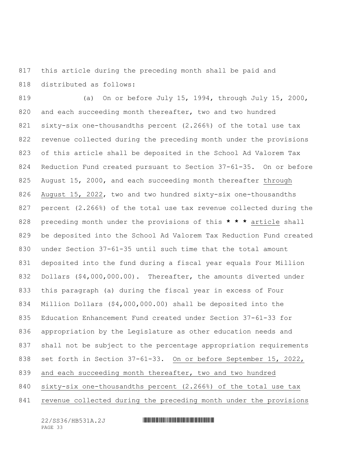this article during the preceding month shall be paid and distributed as follows:

 (a) On or before July 15, 1994, through July 15, 2000, and each succeeding month thereafter, two and two hundred sixty-six one-thousandths percent (2.266%) of the total use tax revenue collected during the preceding month under the provisions of this article shall be deposited in the School Ad Valorem Tax Reduction Fund created pursuant to Section 37-61-35. On or before August 15, 2000, and each succeeding month thereafter through August 15, 2022, two and two hundred sixty-six one-thousandths percent (2.266%) of the total use tax revenue collected during the preceding month under the provisions of this **\* \* \*** article shall be deposited into the School Ad Valorem Tax Reduction Fund created under Section 37-61-35 until such time that the total amount deposited into the fund during a fiscal year equals Four Million Dollars (\$4,000,000.00). Thereafter, the amounts diverted under this paragraph (a) during the fiscal year in excess of Four Million Dollars (\$4,000,000.00) shall be deposited into the Education Enhancement Fund created under Section 37-61-33 for appropriation by the Legislature as other education needs and shall not be subject to the percentage appropriation requirements set forth in Section 37-61-33. On or before September 15, 2022, and each succeeding month thereafter, two and two hundred sixty-six one-thousandths percent (2.266%) of the total use tax revenue collected during the preceding month under the provisions

PAGE 33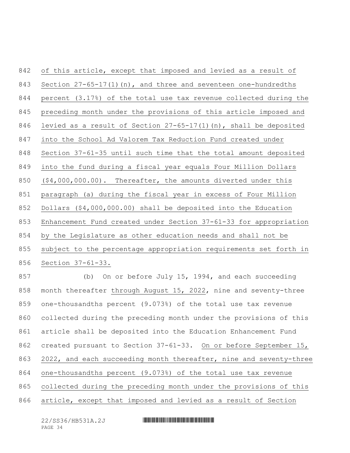of this article, except that imposed and levied as a result of 843 Section  $27-65-17(1)(n)$ , and three and seventeen one-hundredths percent (3.17%) of the total use tax revenue collected during the preceding month under the provisions of this article imposed and levied as a result of Section 27-65-17(1)(n), shall be deposited into the School Ad Valorem Tax Reduction Fund created under Section 37-61-35 until such time that the total amount deposited into the fund during a fiscal year equals Four Million Dollars (\$4,000,000.00). Thereafter, the amounts diverted under this paragraph (a) during the fiscal year in excess of Four Million Dollars (\$4,000,000.00) shall be deposited into the Education Enhancement Fund created under Section 37-61-33 for appropriation by the Legislature as other education needs and shall not be subject to the percentage appropriation requirements set forth in Section 37-61-33. (b) On or before July 15, 1994, and each succeeding month thereafter through August 15, 2022, nine and seventy-three one-thousandths percent (9.073%) of the total use tax revenue collected during the preceding month under the provisions of this article shall be deposited into the Education Enhancement Fund 862 created pursuant to Section 37-61-33. On or before September 15, 2022, and each succeeding month thereafter, nine and seventy-three one-thousandths percent (9.073%) of the total use tax revenue collected during the preceding month under the provisions of this

article, except that imposed and levied as a result of Section

PAGE 34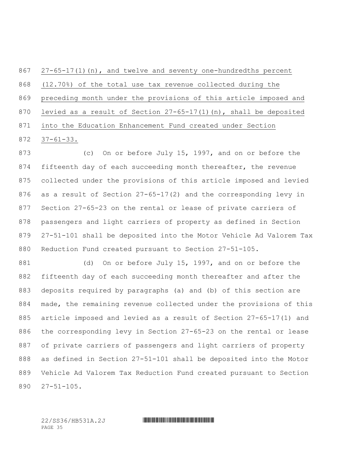27-65-17(1)(n), and twelve and seventy one-hundredths percent (12.70%) of the total use tax revenue collected during the preceding month under the provisions of this article imposed and levied as a result of Section 27-65-17(1)(n), shall be deposited into the Education Enhancement Fund created under Section 37-61-33.

 (c) On or before July 15, 1997, and on or before the 874 fifteenth day of each succeeding month thereafter, the revenue collected under the provisions of this article imposed and levied as a result of Section 27-65-17(2) and the corresponding levy in Section 27-65-23 on the rental or lease of private carriers of passengers and light carriers of property as defined in Section 27-51-101 shall be deposited into the Motor Vehicle Ad Valorem Tax Reduction Fund created pursuant to Section 27-51-105.

881 (d) On or before July 15, 1997, and on or before the fifteenth day of each succeeding month thereafter and after the deposits required by paragraphs (a) and (b) of this section are made, the remaining revenue collected under the provisions of this article imposed and levied as a result of Section 27-65-17(1) and the corresponding levy in Section 27-65-23 on the rental or lease of private carriers of passengers and light carriers of property as defined in Section 27-51-101 shall be deposited into the Motor Vehicle Ad Valorem Tax Reduction Fund created pursuant to Section 27-51-105.

PAGE 35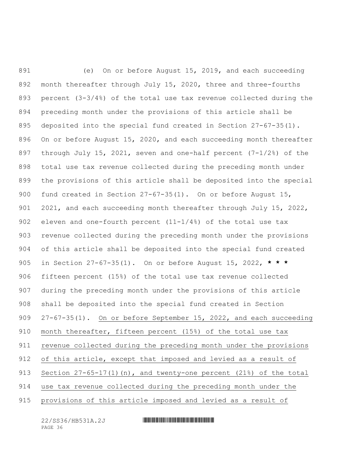(e) On or before August 15, 2019, and each succeeding month thereafter through July 15, 2020, three and three-fourths percent (3-3/4%) of the total use tax revenue collected during the preceding month under the provisions of this article shall be deposited into the special fund created in Section 27-67-35(1). On or before August 15, 2020, and each succeeding month thereafter through July 15, 2021, seven and one-half percent (7-1/2%) of the total use tax revenue collected during the preceding month under the provisions of this article shall be deposited into the special fund created in Section 27-67-35(1). On or before August 15, 2021, and each succeeding month thereafter through July 15, 2022, 902 eleven and one-fourth percent  $(11-1/4)$  of the total use tax revenue collected during the preceding month under the provisions of this article shall be deposited into the special fund created in Section 27-67-35(1). On or before August 15, 2022, **\* \* \*** fifteen percent (15%) of the total use tax revenue collected during the preceding month under the provisions of this article shall be deposited into the special fund created in Section 909 27-67-35(1). On or before September 15, 2022, and each succeeding month thereafter, fifteen percent (15%) of the total use tax revenue collected during the preceding month under the provisions of this article, except that imposed and levied as a result of Section 27-65-17(1)(n), and twenty-one percent (21%) of the total use tax revenue collected during the preceding month under the provisions of this article imposed and levied as a result of

PAGE 36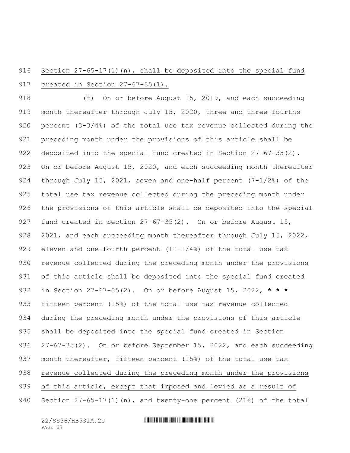# 916 Section 27-65-17(1)(n), shall be deposited into the special fund created in Section 27-67-35(1).

 (f) On or before August 15, 2019, and each succeeding month thereafter through July 15, 2020, three and three-fourths percent (3-3/4%) of the total use tax revenue collected during the preceding month under the provisions of this article shall be deposited into the special fund created in Section 27-67-35(2). 923 On or before August 15, 2020, and each succeeding month thereafter through July 15, 2021, seven and one-half percent (7-1/2%) of the total use tax revenue collected during the preceding month under the provisions of this article shall be deposited into the special fund created in Section 27-67-35(2). On or before August 15, 928 2021, and each succeeding month thereafter through July 15, 2022, 929 eleven and one-fourth percent  $(11-1/4)$  of the total use tax revenue collected during the preceding month under the provisions of this article shall be deposited into the special fund created in Section 27-67-35(2). On or before August 15, 2022, **\* \* \*** fifteen percent (15%) of the total use tax revenue collected during the preceding month under the provisions of this article shall be deposited into the special fund created in Section 27-67-35(2). On or before September 15, 2022, and each succeeding 937 month thereafter, fifteen percent (15%) of the total use tax revenue collected during the preceding month under the provisions of this article, except that imposed and levied as a result of Section 27-65-17(1)(n), and twenty-one percent (21%) of the total

PAGE 37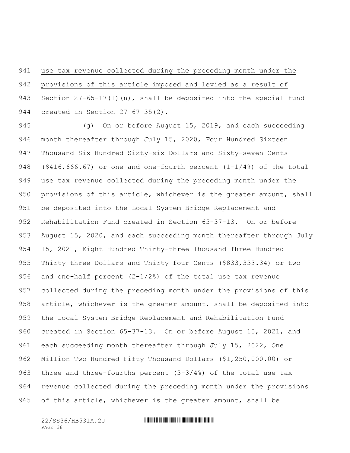use tax revenue collected during the preceding month under the provisions of this article imposed and levied as a result of 943 Section 27-65-17(1)(n), shall be deposited into the special fund created in Section 27-67-35(2).

 (g) On or before August 15, 2019, and each succeeding month thereafter through July 15, 2020, Four Hundred Sixteen Thousand Six Hundred Sixty-six Dollars and Sixty-seven Cents (\$416,666.67) or one and one-fourth percent (1-1/4%) of the total use tax revenue collected during the preceding month under the provisions of this article, whichever is the greater amount, shall be deposited into the Local System Bridge Replacement and Rehabilitation Fund created in Section 65-37-13. On or before August 15, 2020, and each succeeding month thereafter through July 15, 2021, Eight Hundred Thirty-three Thousand Three Hundred Thirty-three Dollars and Thirty-four Cents (\$833,333.34) or two and one-half percent (2-1/2%) of the total use tax revenue collected during the preceding month under the provisions of this article, whichever is the greater amount, shall be deposited into the Local System Bridge Replacement and Rehabilitation Fund created in Section 65-37-13. On or before August 15, 2021, and each succeeding month thereafter through July 15, 2022, One Million Two Hundred Fifty Thousand Dollars (\$1,250,000.00) or three and three-fourths percent (3-3/4%) of the total use tax revenue collected during the preceding month under the provisions of this article, whichever is the greater amount, shall be

PAGE 38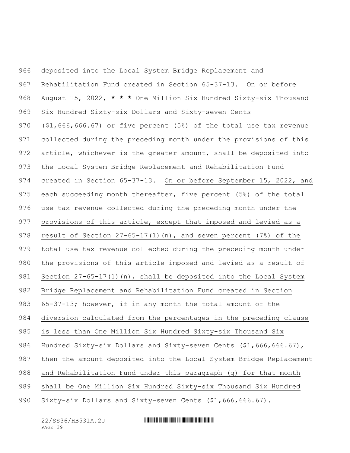deposited into the Local System Bridge Replacement and Rehabilitation Fund created in Section 65-37-13. On or before August 15, 2022, **\* \* \*** One Million Six Hundred Sixty-six Thousand Six Hundred Sixty-six Dollars and Sixty-seven Cents (\$1,666,666.67) or five percent (5%) of the total use tax revenue collected during the preceding month under the provisions of this article, whichever is the greater amount, shall be deposited into the Local System Bridge Replacement and Rehabilitation Fund created in Section 65-37-13. On or before September 15, 2022, and each succeeding month thereafter, five percent (5%) of the total use tax revenue collected during the preceding month under the provisions of this article, except that imposed and levied as a result of Section 27-65-17(1)(n), and seven percent (7%) of the total use tax revenue collected during the preceding month under the provisions of this article imposed and levied as a result of 981 Section 27-65-17(1)(n), shall be deposited into the Local System Bridge Replacement and Rehabilitation Fund created in Section 65-37-13; however, if in any month the total amount of the diversion calculated from the percentages in the preceding clause is less than One Million Six Hundred Sixty-six Thousand Six 986 Hundred Sixty-six Dollars and Sixty-seven Cents (\$1,666,666.67), then the amount deposited into the Local System Bridge Replacement and Rehabilitation Fund under this paragraph (g) for that month shall be One Million Six Hundred Sixty-six Thousand Six Hundred Sixty-six Dollars and Sixty-seven Cents (\$1,666,666.67).

PAGE 39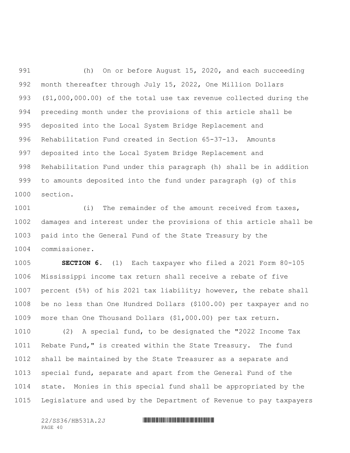(h) On or before August 15, 2020, and each succeeding month thereafter through July 15, 2022, One Million Dollars (\$1,000,000.00) of the total use tax revenue collected during the preceding month under the provisions of this article shall be deposited into the Local System Bridge Replacement and Rehabilitation Fund created in Section 65-37-13. Amounts deposited into the Local System Bridge Replacement and Rehabilitation Fund under this paragraph (h) shall be in addition to amounts deposited into the fund under paragraph (g) of this section.

1001 (i) The remainder of the amount received from taxes, damages and interest under the provisions of this article shall be paid into the General Fund of the State Treasury by the commissioner.

 **SECTION 6.** (1) Each taxpayer who filed a 2021 Form 80-105 Mississippi income tax return shall receive a rebate of five percent (5%) of his 2021 tax liability; however, the rebate shall be no less than One Hundred Dollars (\$100.00) per taxpayer and no more than One Thousand Dollars (\$1,000.00) per tax return.

 (2) A special fund, to be designated the "2022 Income Tax Rebate Fund," is created within the State Treasury. The fund shall be maintained by the State Treasurer as a separate and special fund, separate and apart from the General Fund of the state. Monies in this special fund shall be appropriated by the Legislature and used by the Department of Revenue to pay taxpayers

PAGE 40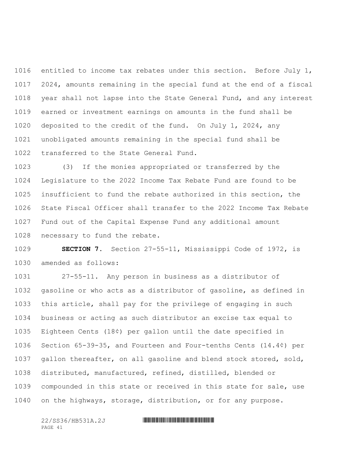entitled to income tax rebates under this section. Before July 1, 2024, amounts remaining in the special fund at the end of a fiscal year shall not lapse into the State General Fund, and any interest earned or investment earnings on amounts in the fund shall be deposited to the credit of the fund. On July 1, 2024, any unobligated amounts remaining in the special fund shall be transferred to the State General Fund.

 (3) If the monies appropriated or transferred by the Legislature to the 2022 Income Tax Rebate Fund are found to be insufficient to fund the rebate authorized in this section, the State Fiscal Officer shall transfer to the 2022 Income Tax Rebate Fund out of the Capital Expense Fund any additional amount necessary to fund the rebate.

 **SECTION 7.** Section 27-55-11, Mississippi Code of 1972, is amended as follows:

 27-55-11. Any person in business as a distributor of gasoline or who acts as a distributor of gasoline, as defined in this article, shall pay for the privilege of engaging in such business or acting as such distributor an excise tax equal to Eighteen Cents (18¢) per gallon until the date specified in Section 65-39-35, and Fourteen and Four-tenths Cents (14.4¢) per gallon thereafter, on all gasoline and blend stock stored, sold, distributed, manufactured, refined, distilled, blended or compounded in this state or received in this state for sale, use on the highways, storage, distribution, or for any purpose.

PAGE 41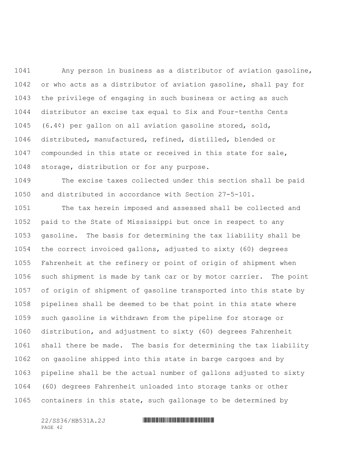Any person in business as a distributor of aviation gasoline, or who acts as a distributor of aviation gasoline, shall pay for the privilege of engaging in such business or acting as such distributor an excise tax equal to Six and Four-tenths Cents (6.4¢) per gallon on all aviation gasoline stored, sold, distributed, manufactured, refined, distilled, blended or compounded in this state or received in this state for sale, storage, distribution or for any purpose.

 The excise taxes collected under this section shall be paid and distributed in accordance with Section 27-5-101.

 The tax herein imposed and assessed shall be collected and paid to the State of Mississippi but once in respect to any gasoline. The basis for determining the tax liability shall be the correct invoiced gallons, adjusted to sixty (60) degrees Fahrenheit at the refinery or point of origin of shipment when such shipment is made by tank car or by motor carrier. The point of origin of shipment of gasoline transported into this state by pipelines shall be deemed to be that point in this state where such gasoline is withdrawn from the pipeline for storage or distribution, and adjustment to sixty (60) degrees Fahrenheit shall there be made. The basis for determining the tax liability on gasoline shipped into this state in barge cargoes and by pipeline shall be the actual number of gallons adjusted to sixty (60) degrees Fahrenheit unloaded into storage tanks or other containers in this state, such gallonage to be determined by

PAGE 42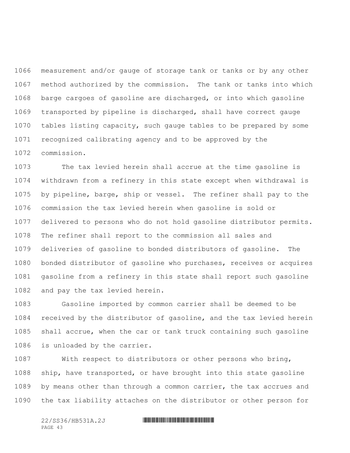measurement and/or gauge of storage tank or tanks or by any other method authorized by the commission. The tank or tanks into which barge cargoes of gasoline are discharged, or into which gasoline transported by pipeline is discharged, shall have correct gauge tables listing capacity, such gauge tables to be prepared by some recognized calibrating agency and to be approved by the commission.

 The tax levied herein shall accrue at the time gasoline is withdrawn from a refinery in this state except when withdrawal is by pipeline, barge, ship or vessel. The refiner shall pay to the commission the tax levied herein when gasoline is sold or delivered to persons who do not hold gasoline distributor permits. The refiner shall report to the commission all sales and deliveries of gasoline to bonded distributors of gasoline. The bonded distributor of gasoline who purchases, receives or acquires gasoline from a refinery in this state shall report such gasoline and pay the tax levied herein.

 Gasoline imported by common carrier shall be deemed to be received by the distributor of gasoline, and the tax levied herein shall accrue, when the car or tank truck containing such gasoline is unloaded by the carrier.

 With respect to distributors or other persons who bring, ship, have transported, or have brought into this state gasoline by means other than through a common carrier, the tax accrues and the tax liability attaches on the distributor or other person for

PAGE 43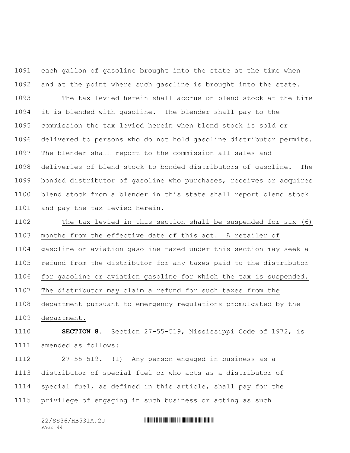each gallon of gasoline brought into the state at the time when and at the point where such gasoline is brought into the state.

 The tax levied herein shall accrue on blend stock at the time it is blended with gasoline. The blender shall pay to the commission the tax levied herein when blend stock is sold or delivered to persons who do not hold gasoline distributor permits. The blender shall report to the commission all sales and deliveries of blend stock to bonded distributors of gasoline. The bonded distributor of gasoline who purchases, receives or acquires blend stock from a blender in this state shall report blend stock and pay the tax levied herein.

 The tax levied in this section shall be suspended for six (6) months from the effective date of this act. A retailer of gasoline or aviation gasoline taxed under this section may seek a refund from the distributor for any taxes paid to the distributor for gasoline or aviation gasoline for which the tax is suspended. The distributor may claim a refund for such taxes from the department pursuant to emergency regulations promulgated by the department.

 **SECTION 8.** Section 27-55-519, Mississippi Code of 1972, is amended as follows:

 27-55-519. (1) Any person engaged in business as a distributor of special fuel or who acts as a distributor of special fuel, as defined in this article, shall pay for the privilege of engaging in such business or acting as such

| 22/SS36/HB531A.2J |  |
|-------------------|--|
| PAGE 44           |  |

### 22/SS36/HB531A.2J \*SS36/HB531A.2J \*SS36/HB531A.2J \*SS36/HB531A.2J \*SS36/HB531A.2J \*SS36/HB531A.2J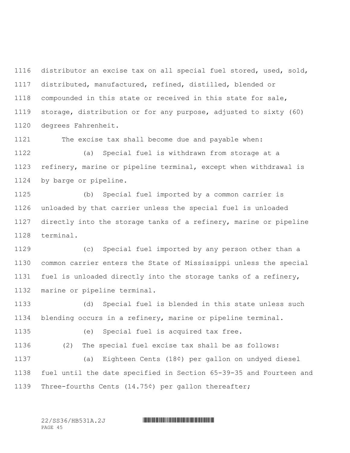distributor an excise tax on all special fuel stored, used, sold, distributed, manufactured, refined, distilled, blended or compounded in this state or received in this state for sale, storage, distribution or for any purpose, adjusted to sixty (60) degrees Fahrenheit.

The excise tax shall become due and payable when:

 (a) Special fuel is withdrawn from storage at a refinery, marine or pipeline terminal, except when withdrawal is by barge or pipeline.

 (b) Special fuel imported by a common carrier is unloaded by that carrier unless the special fuel is unloaded directly into the storage tanks of a refinery, marine or pipeline terminal.

 (c) Special fuel imported by any person other than a common carrier enters the State of Mississippi unless the special fuel is unloaded directly into the storage tanks of a refinery, marine or pipeline terminal.

 (d) Special fuel is blended in this state unless such blending occurs in a refinery, marine or pipeline terminal.

 (e) Special fuel is acquired tax free. (2) The special fuel excise tax shall be as follows: (a) Eighteen Cents (18¢) per gallon on undyed diesel fuel until the date specified in Section 65-39-35 and Fourteen and Three-fourths Cents (14.75¢) per gallon thereafter;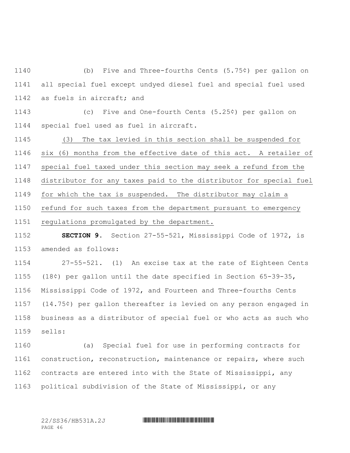(b) Five and Three-fourths Cents (5.75¢) per gallon on all special fuel except undyed diesel fuel and special fuel used as fuels in aircraft; and

 (c) Five and One-fourth Cents (5.25¢) per gallon on special fuel used as fuel in aircraft.

 (3) The tax levied in this section shall be suspended for six (6) months from the effective date of this act. A retailer of special fuel taxed under this section may seek a refund from the distributor for any taxes paid to the distributor for special fuel for which the tax is suspended. The distributor may claim a refund for such taxes from the department pursuant to emergency regulations promulgated by the department.

 **SECTION 9.** Section 27-55-521, Mississippi Code of 1972, is amended as follows:

 27-55-521. (1) An excise tax at the rate of Eighteen Cents (18¢) per gallon until the date specified in Section 65-39-35, Mississippi Code of 1972, and Fourteen and Three-fourths Cents (14.75¢) per gallon thereafter is levied on any person engaged in business as a distributor of special fuel or who acts as such who sells:

 (a) Special fuel for use in performing contracts for construction, reconstruction, maintenance or repairs, where such contracts are entered into with the State of Mississippi, any political subdivision of the State of Mississippi, or any

PAGE 46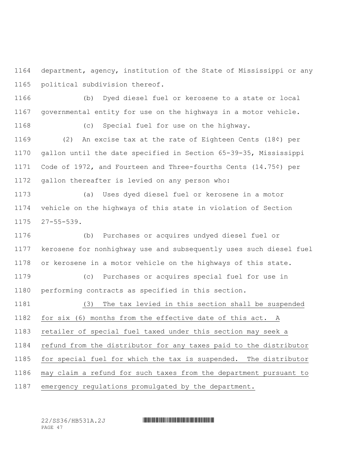department, agency, institution of the State of Mississippi or any political subdivision thereof.

 (b) Dyed diesel fuel or kerosene to a state or local governmental entity for use on the highways in a motor vehicle.

(c) Special fuel for use on the highway.

 (2) An excise tax at the rate of Eighteen Cents (18¢) per gallon until the date specified in Section 65-39-35, Mississippi Code of 1972, and Fourteen and Three-fourths Cents (14.75¢) per gallon thereafter is levied on any person who:

 (a) Uses dyed diesel fuel or kerosene in a motor vehicle on the highways of this state in violation of Section 27-55-539.

 (b) Purchases or acquires undyed diesel fuel or kerosene for nonhighway use and subsequently uses such diesel fuel or kerosene in a motor vehicle on the highways of this state.

 (c) Purchases or acquires special fuel for use in performing contracts as specified in this section.

 (3) The tax levied in this section shall be suspended for six (6) months from the effective date of this act. A retailer of special fuel taxed under this section may seek a refund from the distributor for any taxes paid to the distributor for special fuel for which the tax is suspended. The distributor may claim a refund for such taxes from the department pursuant to emergency regulations promulgated by the department.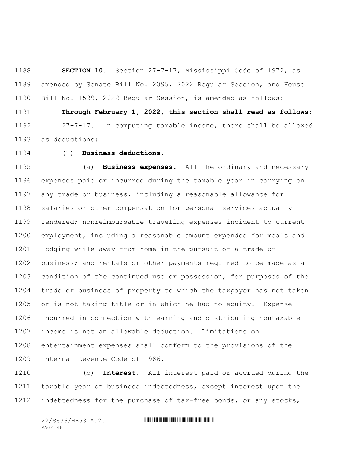**SECTION 10.** Section 27-7-17, Mississippi Code of 1972, as amended by Senate Bill No. 2095, 2022 Regular Session, and House Bill No. 1529, 2022 Regular Session, is amended as follows:

 **Through February 1, 2022, this section shall read as follows:** 27-7-17. In computing taxable income, there shall be allowed as deductions:

(1) **Business deductions.**

 (a) **Business expenses.** All the ordinary and necessary expenses paid or incurred during the taxable year in carrying on any trade or business, including a reasonable allowance for salaries or other compensation for personal services actually rendered; nonreimbursable traveling expenses incident to current employment, including a reasonable amount expended for meals and lodging while away from home in the pursuit of a trade or business; and rentals or other payments required to be made as a condition of the continued use or possession, for purposes of the trade or business of property to which the taxpayer has not taken or is not taking title or in which he had no equity. Expense incurred in connection with earning and distributing nontaxable income is not an allowable deduction. Limitations on entertainment expenses shall conform to the provisions of the Internal Revenue Code of 1986.

 (b) **Interest.** All interest paid or accrued during the taxable year on business indebtedness, except interest upon the indebtedness for the purchase of tax-free bonds, or any stocks,

PAGE 48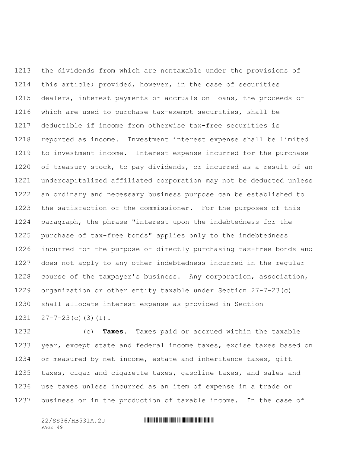the dividends from which are nontaxable under the provisions of this article; provided, however, in the case of securities 1215 dealers, interest payments or accruals on loans, the proceeds of which are used to purchase tax-exempt securities, shall be deductible if income from otherwise tax-free securities is reported as income. Investment interest expense shall be limited to investment income. Interest expense incurred for the purchase of treasury stock, to pay dividends, or incurred as a result of an undercapitalized affiliated corporation may not be deducted unless an ordinary and necessary business purpose can be established to the satisfaction of the commissioner. For the purposes of this paragraph, the phrase "interest upon the indebtedness for the purchase of tax-free bonds" applies only to the indebtedness incurred for the purpose of directly purchasing tax-free bonds and does not apply to any other indebtedness incurred in the regular course of the taxpayer's business. Any corporation, association, organization or other entity taxable under Section 27-7-23(c) shall allocate interest expense as provided in Section  $27-7-23$  (c)(3)(I).

 (c) **Taxes.** Taxes paid or accrued within the taxable year, except state and federal income taxes, excise taxes based on or measured by net income, estate and inheritance taxes, gift taxes, cigar and cigarette taxes, gasoline taxes, and sales and use taxes unless incurred as an item of expense in a trade or business or in the production of taxable income. In the case of

PAGE 49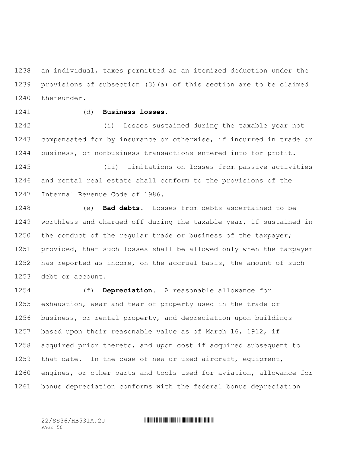an individual, taxes permitted as an itemized deduction under the provisions of subsection (3)(a) of this section are to be claimed thereunder.

# (d) **Business losses.**

 (i) Losses sustained during the taxable year not compensated for by insurance or otherwise, if incurred in trade or business, or nonbusiness transactions entered into for profit.

 (ii) Limitations on losses from passive activities and rental real estate shall conform to the provisions of the Internal Revenue Code of 1986.

 (e) **Bad debts.** Losses from debts ascertained to be worthless and charged off during the taxable year, if sustained in 1250 the conduct of the regular trade or business of the taxpayer; provided, that such losses shall be allowed only when the taxpayer has reported as income, on the accrual basis, the amount of such debt or account.

 (f) **Depreciation.** A reasonable allowance for exhaustion, wear and tear of property used in the trade or business, or rental property, and depreciation upon buildings based upon their reasonable value as of March 16, 1912, if acquired prior thereto, and upon cost if acquired subsequent to that date. In the case of new or used aircraft, equipment, engines, or other parts and tools used for aviation, allowance for bonus depreciation conforms with the federal bonus depreciation

PAGE 50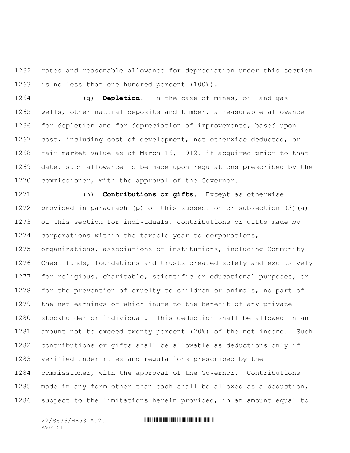rates and reasonable allowance for depreciation under this section is no less than one hundred percent (100%).

 (g) **Depletion.** In the case of mines, oil and gas wells, other natural deposits and timber, a reasonable allowance for depletion and for depreciation of improvements, based upon cost, including cost of development, not otherwise deducted, or fair market value as of March 16, 1912, if acquired prior to that date, such allowance to be made upon regulations prescribed by the commissioner, with the approval of the Governor.

 (h) **Contributions or gifts.** Except as otherwise provided in paragraph (p) of this subsection or subsection (3)(a) of this section for individuals, contributions or gifts made by corporations within the taxable year to corporations, organizations, associations or institutions, including Community Chest funds, foundations and trusts created solely and exclusively for religious, charitable, scientific or educational purposes, or for the prevention of cruelty to children or animals, no part of the net earnings of which inure to the benefit of any private stockholder or individual. This deduction shall be allowed in an amount not to exceed twenty percent (20%) of the net income. Such contributions or gifts shall be allowable as deductions only if verified under rules and regulations prescribed by the commissioner, with the approval of the Governor. Contributions made in any form other than cash shall be allowed as a deduction, subject to the limitations herein provided, in an amount equal to

PAGE 51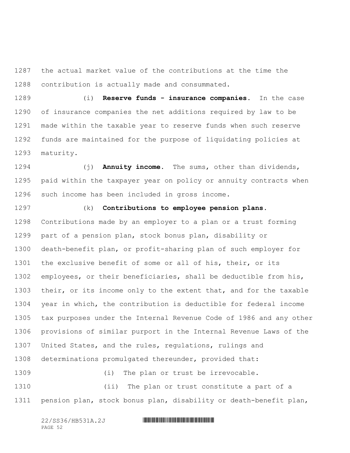the actual market value of the contributions at the time the contribution is actually made and consummated.

 (i) **Reserve funds - insurance companies.** In the case of insurance companies the net additions required by law to be made within the taxable year to reserve funds when such reserve funds are maintained for the purpose of liquidating policies at maturity.

 (j) **Annuity income.** The sums, other than dividends, paid within the taxpayer year on policy or annuity contracts when such income has been included in gross income.

 (k) **Contributions to employee pension plans.** Contributions made by an employer to a plan or a trust forming part of a pension plan, stock bonus plan, disability or death-benefit plan, or profit-sharing plan of such employer for the exclusive benefit of some or all of his, their, or its employees, or their beneficiaries, shall be deductible from his, 1303 their, or its income only to the extent that, and for the taxable year in which, the contribution is deductible for federal income tax purposes under the Internal Revenue Code of 1986 and any other provisions of similar purport in the Internal Revenue Laws of the United States, and the rules, regulations, rulings and determinations promulgated thereunder, provided that:

1309 (i) The plan or trust be irrevocable. (ii) The plan or trust constitute a part of a pension plan, stock bonus plan, disability or death-benefit plan,

PAGE 52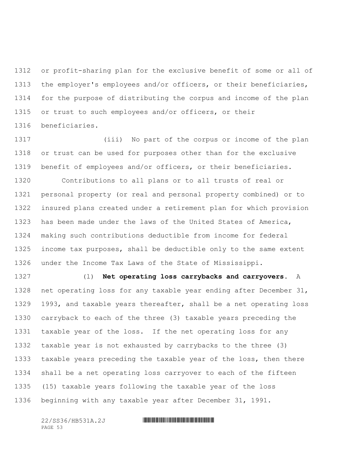or profit-sharing plan for the exclusive benefit of some or all of the employer's employees and/or officers, or their beneficiaries, for the purpose of distributing the corpus and income of the plan or trust to such employees and/or officers, or their beneficiaries.

 (iii) No part of the corpus or income of the plan or trust can be used for purposes other than for the exclusive benefit of employees and/or officers, or their beneficiaries.

 Contributions to all plans or to all trusts of real or personal property (or real and personal property combined) or to insured plans created under a retirement plan for which provision has been made under the laws of the United States of America, making such contributions deductible from income for federal income tax purposes, shall be deductible only to the same extent under the Income Tax Laws of the State of Mississippi.

 (l) **Net operating loss carrybacks and carryovers.** A net operating loss for any taxable year ending after December 31, 1993, and taxable years thereafter, shall be a net operating loss carryback to each of the three (3) taxable years preceding the taxable year of the loss. If the net operating loss for any taxable year is not exhausted by carrybacks to the three (3) taxable years preceding the taxable year of the loss, then there shall be a net operating loss carryover to each of the fifteen (15) taxable years following the taxable year of the loss beginning with any taxable year after December 31, 1991.

PAGE 53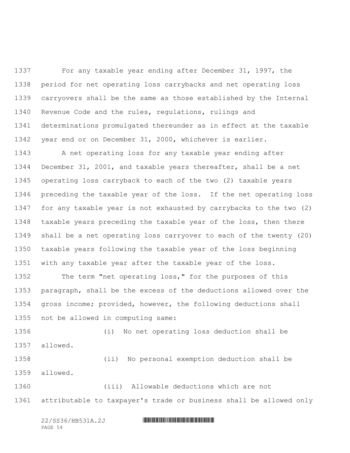For any taxable year ending after December 31, 1997, the period for net operating loss carrybacks and net operating loss carryovers shall be the same as those established by the Internal Revenue Code and the rules, regulations, rulings and determinations promulgated thereunder as in effect at the taxable year end or on December 31, 2000, whichever is earlier.

 A net operating loss for any taxable year ending after December 31, 2001, and taxable years thereafter, shall be a net operating loss carryback to each of the two (2) taxable years preceding the taxable year of the loss. If the net operating loss for any taxable year is not exhausted by carrybacks to the two (2) taxable years preceding the taxable year of the loss, then there shall be a net operating loss carryover to each of the twenty (20) taxable years following the taxable year of the loss beginning with any taxable year after the taxable year of the loss.

 The term "net operating loss," for the purposes of this paragraph, shall be the excess of the deductions allowed over the gross income; provided, however, the following deductions shall not be allowed in computing same:

 (i) No net operating loss deduction shall be allowed.

 (ii) No personal exemption deduction shall be allowed.

 (iii) Allowable deductions which are not attributable to taxpayer's trade or business shall be allowed only

PAGE 54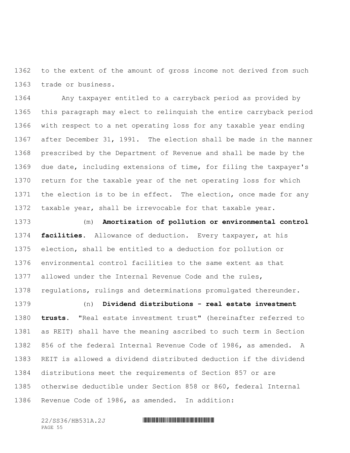to the extent of the amount of gross income not derived from such trade or business.

 Any taxpayer entitled to a carryback period as provided by this paragraph may elect to relinquish the entire carryback period with respect to a net operating loss for any taxable year ending after December 31, 1991. The election shall be made in the manner prescribed by the Department of Revenue and shall be made by the due date, including extensions of time, for filing the taxpayer's return for the taxable year of the net operating loss for which 1371 the election is to be in effect. The election, once made for any taxable year, shall be irrevocable for that taxable year.

 (m) **Amortization of pollution or environmental control facilities.** Allowance of deduction. Every taxpayer, at his election, shall be entitled to a deduction for pollution or environmental control facilities to the same extent as that allowed under the Internal Revenue Code and the rules, regulations, rulings and determinations promulgated thereunder.

 (n) **Dividend distributions - real estate investment trusts.** "Real estate investment trust" (hereinafter referred to as REIT) shall have the meaning ascribed to such term in Section 856 of the federal Internal Revenue Code of 1986, as amended. A REIT is allowed a dividend distributed deduction if the dividend distributions meet the requirements of Section 857 or are otherwise deductible under Section 858 or 860, federal Internal Revenue Code of 1986, as amended. In addition:

PAGE 55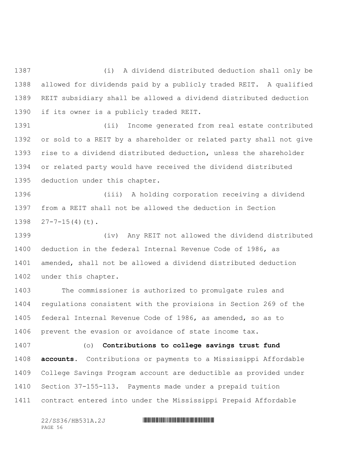(i) A dividend distributed deduction shall only be allowed for dividends paid by a publicly traded REIT. A qualified REIT subsidiary shall be allowed a dividend distributed deduction if its owner is a publicly traded REIT.

 (ii) Income generated from real estate contributed or sold to a REIT by a shareholder or related party shall not give rise to a dividend distributed deduction, unless the shareholder or related party would have received the dividend distributed deduction under this chapter.

 (iii) A holding corporation receiving a dividend from a REIT shall not be allowed the deduction in Section  $27-7-15(4)(t)$ .

 (iv) Any REIT not allowed the dividend distributed deduction in the federal Internal Revenue Code of 1986, as amended, shall not be allowed a dividend distributed deduction under this chapter.

 The commissioner is authorized to promulgate rules and regulations consistent with the provisions in Section 269 of the federal Internal Revenue Code of 1986, as amended, so as to prevent the evasion or avoidance of state income tax.

 (o) **Contributions to college savings trust fund accounts.** Contributions or payments to a Mississippi Affordable College Savings Program account are deductible as provided under Section 37-155-113. Payments made under a prepaid tuition contract entered into under the Mississippi Prepaid Affordable

PAGE 56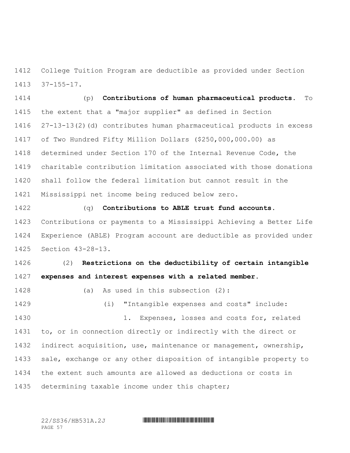College Tuition Program are deductible as provided under Section 37-155-17.

 (p) **Contributions of human pharmaceutical products.** To the extent that a "major supplier" as defined in Section 27-13-13(2)(d) contributes human pharmaceutical products in excess of Two Hundred Fifty Million Dollars (\$250,000,000.00) as determined under Section 170 of the Internal Revenue Code, the charitable contribution limitation associated with those donations shall follow the federal limitation but cannot result in the Mississippi net income being reduced below zero.

 (q) **Contributions to ABLE trust fund accounts.** Contributions or payments to a Mississippi Achieving a Better Life Experience (ABLE) Program account are deductible as provided under Section 43-28-13.

 (2) **Restrictions on the deductibility of certain intangible expenses and interest expenses with a related member.**

(a) As used in this subsection (2):

 (i) "Intangible expenses and costs" include: 1. Expenses, losses and costs for, related to, or in connection directly or indirectly with the direct or indirect acquisition, use, maintenance or management, ownership, sale, exchange or any other disposition of intangible property to the extent such amounts are allowed as deductions or costs in determining taxable income under this chapter;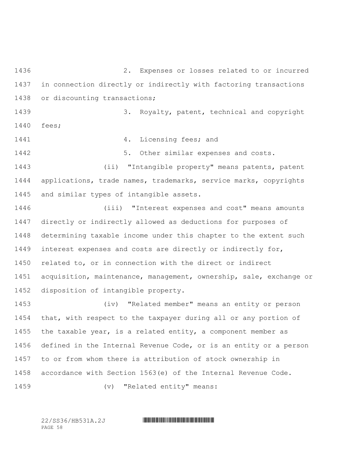2. Expenses or losses related to or incurred in connection directly or indirectly with factoring transactions or discounting transactions;

 3. Royalty, patent, technical and copyright fees;

**1441 1441 1441 1441 1441 1441 1441** 

5. Other similar expenses and costs.

 (ii) "Intangible property" means patents, patent applications, trade names, trademarks, service marks, copyrights and similar types of intangible assets.

 (iii) "Interest expenses and cost" means amounts directly or indirectly allowed as deductions for purposes of determining taxable income under this chapter to the extent such interest expenses and costs are directly or indirectly for, related to, or in connection with the direct or indirect acquisition, maintenance, management, ownership, sale, exchange or disposition of intangible property.

 (iv) "Related member" means an entity or person that, with respect to the taxpayer during all or any portion of the taxable year, is a related entity, a component member as defined in the Internal Revenue Code, or is an entity or a person to or from whom there is attribution of stock ownership in accordance with Section 1563(e) of the Internal Revenue Code.

1459 (v) "Related entity" means: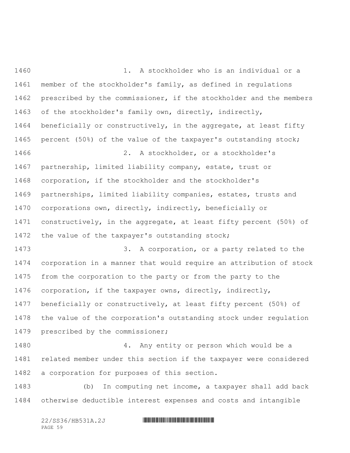1. A stockholder who is an individual or a member of the stockholder's family, as defined in regulations prescribed by the commissioner, if the stockholder and the members of the stockholder's family own, directly, indirectly, beneficially or constructively, in the aggregate, at least fifty percent (50%) of the value of the taxpayer's outstanding stock; 2. A stockholder, or a stockholder's partnership, limited liability company, estate, trust or corporation, if the stockholder and the stockholder's partnerships, limited liability companies, estates, trusts and corporations own, directly, indirectly, beneficially or constructively, in the aggregate, at least fifty percent (50%) of the value of the taxpayer's outstanding stock; 1473 3. A corporation, or a party related to the corporation in a manner that would require an attribution of stock from the corporation to the party or from the party to the corporation, if the taxpayer owns, directly, indirectly, beneficially or constructively, at least fifty percent (50%) of the value of the corporation's outstanding stock under regulation 1479 prescribed by the commissioner; 4. Any entity or person which would be a related member under this section if the taxpayer were considered a corporation for purposes of this section. (b) In computing net income, a taxpayer shall add back otherwise deductible interest expenses and costs and intangible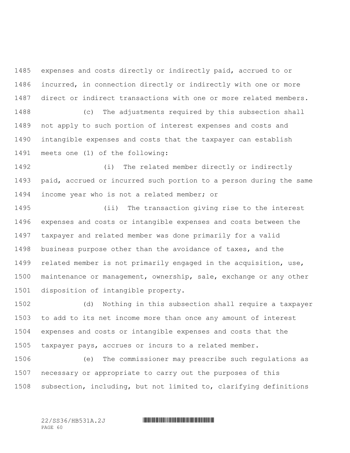expenses and costs directly or indirectly paid, accrued to or incurred, in connection directly or indirectly with one or more direct or indirect transactions with one or more related members. (c) The adjustments required by this subsection shall not apply to such portion of interest expenses and costs and intangible expenses and costs that the taxpayer can establish meets one (1) of the following:

 (i) The related member directly or indirectly paid, accrued or incurred such portion to a person during the same income year who is not a related member; or

 (ii) The transaction giving rise to the interest expenses and costs or intangible expenses and costs between the taxpayer and related member was done primarily for a valid business purpose other than the avoidance of taxes, and the related member is not primarily engaged in the acquisition, use, maintenance or management, ownership, sale, exchange or any other disposition of intangible property.

 (d) Nothing in this subsection shall require a taxpayer to add to its net income more than once any amount of interest expenses and costs or intangible expenses and costs that the taxpayer pays, accrues or incurs to a related member.

 (e) The commissioner may prescribe such regulations as necessary or appropriate to carry out the purposes of this subsection, including, but not limited to, clarifying definitions

PAGE 60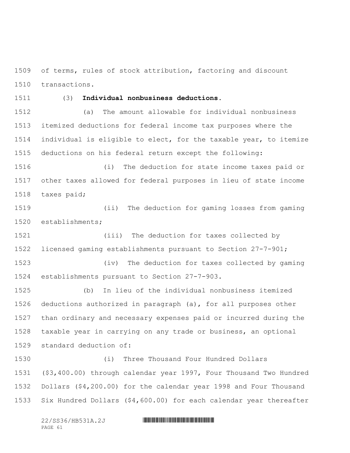of terms, rules of stock attribution, factoring and discount transactions.

# (3) **Individual nonbusiness deductions.**

 (a) The amount allowable for individual nonbusiness itemized deductions for federal income tax purposes where the individual is eligible to elect, for the taxable year, to itemize deductions on his federal return except the following:

 (i) The deduction for state income taxes paid or other taxes allowed for federal purposes in lieu of state income taxes paid;

 (ii) The deduction for gaming losses from gaming establishments;

 (iii) The deduction for taxes collected by licensed gaming establishments pursuant to Section 27-7-901;

 (iv) The deduction for taxes collected by gaming establishments pursuant to Section 27-7-903.

 (b) In lieu of the individual nonbusiness itemized deductions authorized in paragraph (a), for all purposes other than ordinary and necessary expenses paid or incurred during the taxable year in carrying on any trade or business, an optional standard deduction of:

 (i) Three Thousand Four Hundred Dollars (\$3,400.00) through calendar year 1997, Four Thousand Two Hundred Dollars (\$4,200.00) for the calendar year 1998 and Four Thousand Six Hundred Dollars (\$4,600.00) for each calendar year thereafter

PAGE 61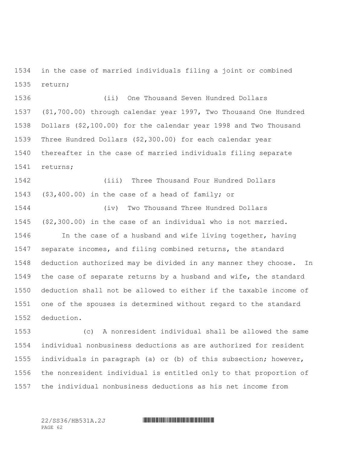in the case of married individuals filing a joint or combined return;

 (ii) One Thousand Seven Hundred Dollars (\$1,700.00) through calendar year 1997, Two Thousand One Hundred Dollars (\$2,100.00) for the calendar year 1998 and Two Thousand Three Hundred Dollars (\$2,300.00) for each calendar year thereafter in the case of married individuals filing separate returns;

 (iii) Three Thousand Four Hundred Dollars (\$3,400.00) in the case of a head of family; or

 (iv) Two Thousand Three Hundred Dollars (\$2,300.00) in the case of an individual who is not married. 1546 In the case of a husband and wife living together, having separate incomes, and filing combined returns, the standard deduction authorized may be divided in any manner they choose. In the case of separate returns by a husband and wife, the standard deduction shall not be allowed to either if the taxable income of one of the spouses is determined without regard to the standard deduction.

 (c) A nonresident individual shall be allowed the same individual nonbusiness deductions as are authorized for resident individuals in paragraph (a) or (b) of this subsection; however, the nonresident individual is entitled only to that proportion of the individual nonbusiness deductions as his net income from

PAGE 62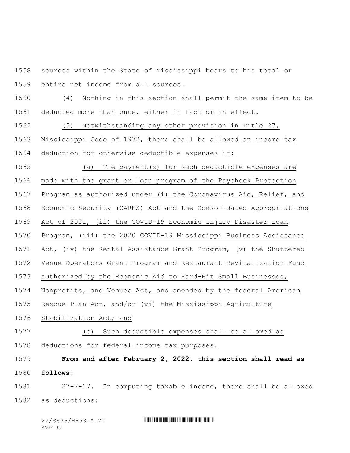sources within the State of Mississippi bears to his total or entire net income from all sources.

 (4) Nothing in this section shall permit the same item to be deducted more than once, either in fact or in effect.

(5) Notwithstanding any other provision in Title 27,

 Mississippi Code of 1972, there shall be allowed an income tax deduction for otherwise deductible expenses if:

 (a) The payment(s) for such deductible expenses are made with the grant or loan program of the Paycheck Protection

Program as authorized under (i) the Coronavirus Aid, Relief, and

Economic Security (CARES) Act and the Consolidated Appropriations

Act of 2021, (ii) the COVID-19 Economic Injury Disaster Loan

Program, (iii) the 2020 COVID-19 Mississippi Business Assistance

Act, (iv) the Rental Assistance Grant Program, (v) the Shuttered

Venue Operators Grant Program and Restaurant Revitalization Fund

authorized by the Economic Aid to Hard-Hit Small Businesses,

Nonprofits, and Venues Act, and amended by the federal American

Rescue Plan Act, and/or (vi) the Mississippi Agriculture

Stabilization Act; and

(b) Such deductible expenses shall be allowed as

deductions for federal income tax purposes.

**From and after February 2, 2022, this section shall read as** 

**follows:**

 27-7-17. In computing taxable income, there shall be allowed as deductions:

| 22/SS36/HB531A.2J |  |
|-------------------|--|
| PAGE 63           |  |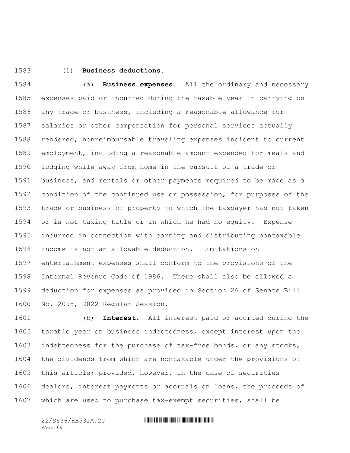# (1) **Business deductions.**

 (a) **Business expenses.** All the ordinary and necessary expenses paid or incurred during the taxable year in carrying on any trade or business, including a reasonable allowance for salaries or other compensation for personal services actually rendered; nonreimbursable traveling expenses incident to current employment, including a reasonable amount expended for meals and lodging while away from home in the pursuit of a trade or business; and rentals or other payments required to be made as a condition of the continued use or possession, for purposes of the trade or business of property to which the taxpayer has not taken or is not taking title or in which he had no equity. Expense incurred in connection with earning and distributing nontaxable income is not an allowable deduction. Limitations on entertainment expenses shall conform to the provisions of the Internal Revenue Code of 1986. There shall also be allowed a deduction for expenses as provided in Section 26 of Senate Bill No. 2095, 2022 Regular Session.

 (b) **Interest.** All interest paid or accrued during the taxable year on business indebtedness, except interest upon the indebtedness for the purchase of tax-free bonds, or any stocks, the dividends from which are nontaxable under the provisions of this article; provided, however, in the case of securities dealers, interest payments or accruals on loans, the proceeds of which are used to purchase tax-exempt securities, shall be

PAGE 64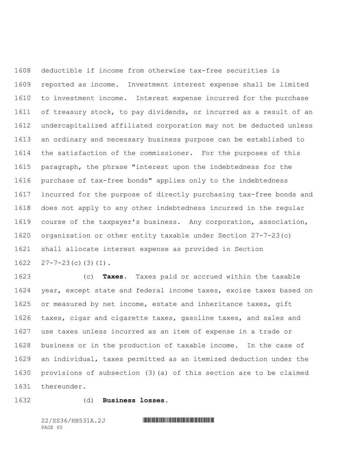deductible if income from otherwise tax-free securities is reported as income. Investment interest expense shall be limited to investment income. Interest expense incurred for the purchase of treasury stock, to pay dividends, or incurred as a result of an undercapitalized affiliated corporation may not be deducted unless an ordinary and necessary business purpose can be established to the satisfaction of the commissioner. For the purposes of this paragraph, the phrase "interest upon the indebtedness for the purchase of tax-free bonds" applies only to the indebtedness incurred for the purpose of directly purchasing tax-free bonds and does not apply to any other indebtedness incurred in the regular course of the taxpayer's business. Any corporation, association, organization or other entity taxable under Section 27-7-23(c) shall allocate interest expense as provided in Section  $27 - 7 - 23$  (c) (3) (I).

 (c) **Taxes.** Taxes paid or accrued within the taxable year, except state and federal income taxes, excise taxes based on 1625 or measured by net income, estate and inheritance taxes, gift taxes, cigar and cigarette taxes, gasoline taxes, and sales and use taxes unless incurred as an item of expense in a trade or business or in the production of taxable income. In the case of an individual, taxes permitted as an itemized deduction under the provisions of subsection (3)(a) of this section are to be claimed thereunder.

(d) **Business losses.**

PAGE 65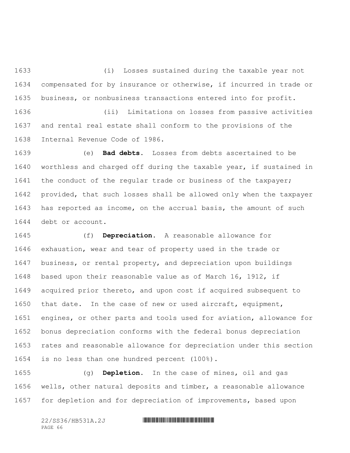(i) Losses sustained during the taxable year not compensated for by insurance or otherwise, if incurred in trade or business, or nonbusiness transactions entered into for profit.

 (ii) Limitations on losses from passive activities and rental real estate shall conform to the provisions of the Internal Revenue Code of 1986.

 (e) **Bad debts.** Losses from debts ascertained to be worthless and charged off during the taxable year, if sustained in 1641 the conduct of the regular trade or business of the taxpayer; provided, that such losses shall be allowed only when the taxpayer has reported as income, on the accrual basis, the amount of such debt or account.

 (f) **Depreciation.** A reasonable allowance for exhaustion, wear and tear of property used in the trade or business, or rental property, and depreciation upon buildings based upon their reasonable value as of March 16, 1912, if acquired prior thereto, and upon cost if acquired subsequent to that date. In the case of new or used aircraft, equipment, engines, or other parts and tools used for aviation, allowance for bonus depreciation conforms with the federal bonus depreciation rates and reasonable allowance for depreciation under this section is no less than one hundred percent (100%).

 (g) **Depletion.** In the case of mines, oil and gas wells, other natural deposits and timber, a reasonable allowance for depletion and for depreciation of improvements, based upon

PAGE 66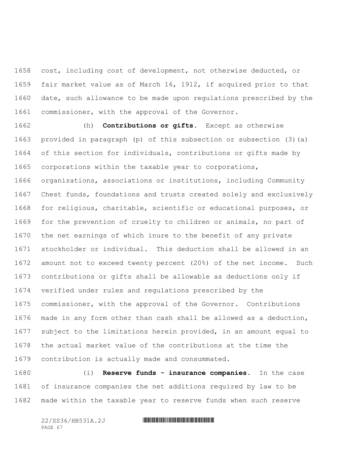cost, including cost of development, not otherwise deducted, or fair market value as of March 16, 1912, if acquired prior to that date, such allowance to be made upon regulations prescribed by the commissioner, with the approval of the Governor.

 (h) **Contributions or gifts.** Except as otherwise provided in paragraph (p) of this subsection or subsection (3)(a) of this section for individuals, contributions or gifts made by corporations within the taxable year to corporations, organizations, associations or institutions, including Community Chest funds, foundations and trusts created solely and exclusively for religious, charitable, scientific or educational purposes, or for the prevention of cruelty to children or animals, no part of the net earnings of which inure to the benefit of any private stockholder or individual. This deduction shall be allowed in an amount not to exceed twenty percent (20%) of the net income. Such contributions or gifts shall be allowable as deductions only if verified under rules and regulations prescribed by the commissioner, with the approval of the Governor. Contributions made in any form other than cash shall be allowed as a deduction, subject to the limitations herein provided, in an amount equal to the actual market value of the contributions at the time the contribution is actually made and consummated.

 (i) **Reserve funds - insurance companies.** In the case of insurance companies the net additions required by law to be made within the taxable year to reserve funds when such reserve

| 22/SS36/HB531A.2J |  |
|-------------------|--|
| PAGE 67           |  |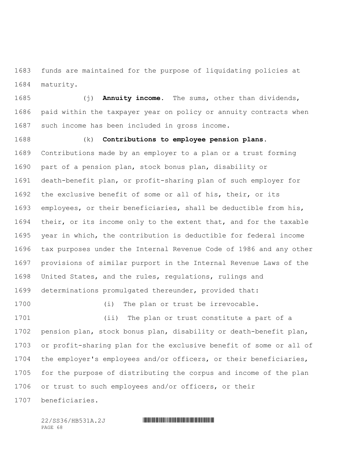funds are maintained for the purpose of liquidating policies at maturity.

 (j) **Annuity income.** The sums, other than dividends, paid within the taxpayer year on policy or annuity contracts when such income has been included in gross income.

 (k) **Contributions to employee pension plans.** Contributions made by an employer to a plan or a trust forming part of a pension plan, stock bonus plan, disability or death-benefit plan, or profit-sharing plan of such employer for the exclusive benefit of some or all of his, their, or its employees, or their beneficiaries, shall be deductible from his, their, or its income only to the extent that, and for the taxable year in which, the contribution is deductible for federal income tax purposes under the Internal Revenue Code of 1986 and any other provisions of similar purport in the Internal Revenue Laws of the United States, and the rules, regulations, rulings and determinations promulgated thereunder, provided that:

(i) The plan or trust be irrevocable.

 (ii) The plan or trust constitute a part of a pension plan, stock bonus plan, disability or death-benefit plan, or profit-sharing plan for the exclusive benefit of some or all of the employer's employees and/or officers, or their beneficiaries, for the purpose of distributing the corpus and income of the plan or trust to such employees and/or officers, or their

beneficiaries.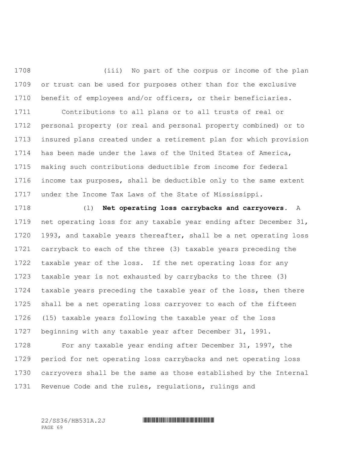(iii) No part of the corpus or income of the plan or trust can be used for purposes other than for the exclusive benefit of employees and/or officers, or their beneficiaries.

 Contributions to all plans or to all trusts of real or personal property (or real and personal property combined) or to insured plans created under a retirement plan for which provision has been made under the laws of the United States of America, making such contributions deductible from income for federal income tax purposes, shall be deductible only to the same extent under the Income Tax Laws of the State of Mississippi.

 (l) **Net operating loss carrybacks and carryovers.** A net operating loss for any taxable year ending after December 31, 1993, and taxable years thereafter, shall be a net operating loss carryback to each of the three (3) taxable years preceding the taxable year of the loss. If the net operating loss for any taxable year is not exhausted by carrybacks to the three (3) taxable years preceding the taxable year of the loss, then there shall be a net operating loss carryover to each of the fifteen (15) taxable years following the taxable year of the loss beginning with any taxable year after December 31, 1991.

 For any taxable year ending after December 31, 1997, the period for net operating loss carrybacks and net operating loss carryovers shall be the same as those established by the Internal Revenue Code and the rules, regulations, rulings and

PAGE 69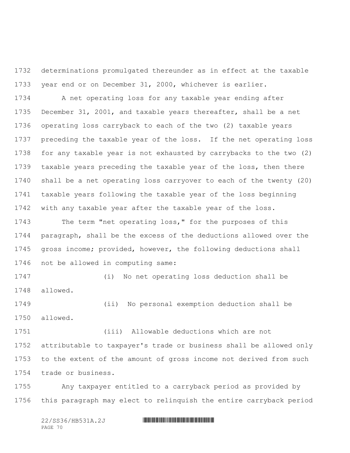determinations promulgated thereunder as in effect at the taxable year end or on December 31, 2000, whichever is earlier.

 A net operating loss for any taxable year ending after December 31, 2001, and taxable years thereafter, shall be a net operating loss carryback to each of the two (2) taxable years preceding the taxable year of the loss. If the net operating loss for any taxable year is not exhausted by carrybacks to the two (2) taxable years preceding the taxable year of the loss, then there shall be a net operating loss carryover to each of the twenty (20) taxable years following the taxable year of the loss beginning with any taxable year after the taxable year of the loss.

 The term "net operating loss," for the purposes of this paragraph, shall be the excess of the deductions allowed over the gross income; provided, however, the following deductions shall not be allowed in computing same:

 (i) No net operating loss deduction shall be allowed.

 (ii) No personal exemption deduction shall be allowed.

 (iii) Allowable deductions which are not attributable to taxpayer's trade or business shall be allowed only to the extent of the amount of gross income not derived from such trade or business.

 Any taxpayer entitled to a carryback period as provided by this paragraph may elect to relinquish the entire carryback period

| 22/SS36/HB531A.2J |  |
|-------------------|--|
| PAGE 70           |  |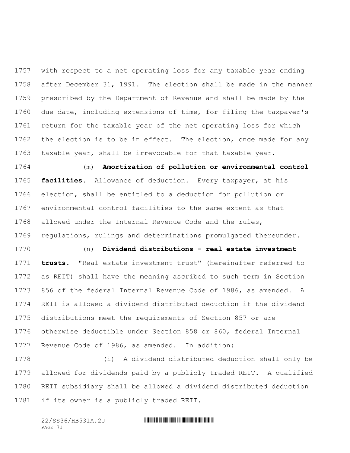with respect to a net operating loss for any taxable year ending after December 31, 1991. The election shall be made in the manner prescribed by the Department of Revenue and shall be made by the due date, including extensions of time, for filing the taxpayer's return for the taxable year of the net operating loss for which 1762 the election is to be in effect. The election, once made for any taxable year, shall be irrevocable for that taxable year.

 (m) **Amortization of pollution or environmental control facilities.** Allowance of deduction. Every taxpayer, at his election, shall be entitled to a deduction for pollution or environmental control facilities to the same extent as that allowed under the Internal Revenue Code and the rules, regulations, rulings and determinations promulgated thereunder.

 (n) **Dividend distributions - real estate investment trusts.** "Real estate investment trust" (hereinafter referred to as REIT) shall have the meaning ascribed to such term in Section 856 of the federal Internal Revenue Code of 1986, as amended. A REIT is allowed a dividend distributed deduction if the dividend distributions meet the requirements of Section 857 or are otherwise deductible under Section 858 or 860, federal Internal Revenue Code of 1986, as amended. In addition:

 (i) A dividend distributed deduction shall only be allowed for dividends paid by a publicly traded REIT. A qualified REIT subsidiary shall be allowed a dividend distributed deduction if its owner is a publicly traded REIT.

| 22/SS36/HB531A.2J |  |
|-------------------|--|
| PAGE 71           |  |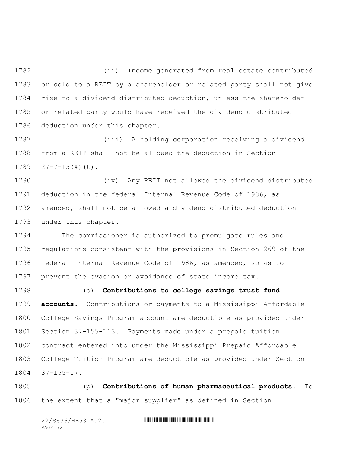(ii) Income generated from real estate contributed or sold to a REIT by a shareholder or related party shall not give rise to a dividend distributed deduction, unless the shareholder or related party would have received the dividend distributed deduction under this chapter.

 (iii) A holding corporation receiving a dividend from a REIT shall not be allowed the deduction in Section  $27-7-15(4)(t)$ .

 (iv) Any REIT not allowed the dividend distributed deduction in the federal Internal Revenue Code of 1986, as amended, shall not be allowed a dividend distributed deduction under this chapter.

 The commissioner is authorized to promulgate rules and regulations consistent with the provisions in Section 269 of the federal Internal Revenue Code of 1986, as amended, so as to prevent the evasion or avoidance of state income tax.

 (o) **Contributions to college savings trust fund accounts.** Contributions or payments to a Mississippi Affordable College Savings Program account are deductible as provided under Section 37-155-113. Payments made under a prepaid tuition contract entered into under the Mississippi Prepaid Affordable College Tuition Program are deductible as provided under Section 37-155-17.

 (p) **Contributions of human pharmaceutical products.** To the extent that a "major supplier" as defined in Section

| 22/SS36/HB531A.2J |  |
|-------------------|--|
| PAGE 72           |  |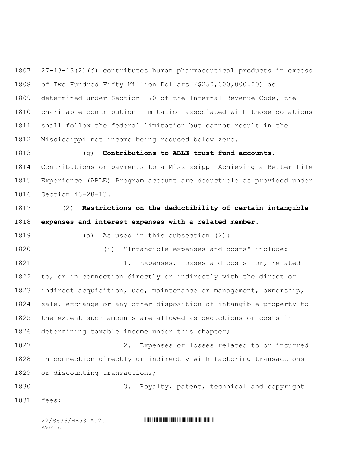27-13-13(2)(d) contributes human pharmaceutical products in excess of Two Hundred Fifty Million Dollars (\$250,000,000.00) as determined under Section 170 of the Internal Revenue Code, the charitable contribution limitation associated with those donations shall follow the federal limitation but cannot result in the Mississippi net income being reduced below zero.

 (q) **Contributions to ABLE trust fund accounts.** Contributions or payments to a Mississippi Achieving a Better Life Experience (ABLE) Program account are deductible as provided under Section 43-28-13.

 (2) **Restrictions on the deductibility of certain intangible expenses and interest expenses with a related member.**

(a) As used in this subsection (2):

(i) "Intangible expenses and costs" include:

 1. Expenses, losses and costs for, related to, or in connection directly or indirectly with the direct or indirect acquisition, use, maintenance or management, ownership, sale, exchange or any other disposition of intangible property to the extent such amounts are allowed as deductions or costs in determining taxable income under this chapter;

 2. Expenses or losses related to or incurred in connection directly or indirectly with factoring transactions or discounting transactions;

 3. Royalty, patent, technical and copyright fees;

PAGE 73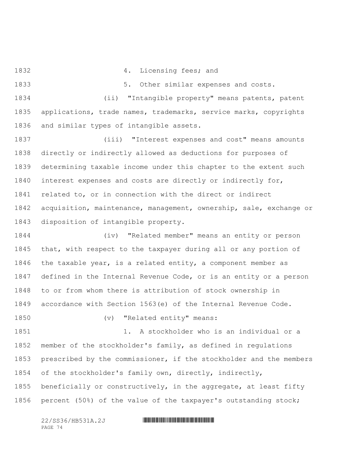4. Licensing fees; and

1833 1833 5. Other similar expenses and costs.

 (ii) "Intangible property" means patents, patent applications, trade names, trademarks, service marks, copyrights and similar types of intangible assets.

 (iii) "Interest expenses and cost" means amounts directly or indirectly allowed as deductions for purposes of determining taxable income under this chapter to the extent such interest expenses and costs are directly or indirectly for, related to, or in connection with the direct or indirect acquisition, maintenance, management, ownership, sale, exchange or disposition of intangible property.

 (iv) "Related member" means an entity or person that, with respect to the taxpayer during all or any portion of the taxable year, is a related entity, a component member as defined in the Internal Revenue Code, or is an entity or a person to or from whom there is attribution of stock ownership in accordance with Section 1563(e) of the Internal Revenue Code.

1850 (v) "Related entity" means: 1. A stockholder who is an individual or a member of the stockholder's family, as defined in regulations prescribed by the commissioner, if the stockholder and the members of the stockholder's family own, directly, indirectly, beneficially or constructively, in the aggregate, at least fifty percent (50%) of the value of the taxpayer's outstanding stock;

PAGE 74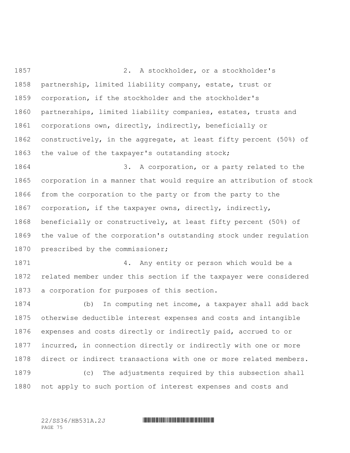2. A stockholder, or a stockholder's partnership, limited liability company, estate, trust or corporation, if the stockholder and the stockholder's partnerships, limited liability companies, estates, trusts and corporations own, directly, indirectly, beneficially or constructively, in the aggregate, at least fifty percent (50%) of the value of the taxpayer's outstanding stock; 3. A corporation, or a party related to the corporation in a manner that would require an attribution of stock from the corporation to the party or from the party to the corporation, if the taxpayer owns, directly, indirectly, beneficially or constructively, at least fifty percent (50%) of the value of the corporation's outstanding stock under regulation 1870 prescribed by the commissioner;

 4. Any entity or person which would be a related member under this section if the taxpayer were considered a corporation for purposes of this section.

 (b) In computing net income, a taxpayer shall add back otherwise deductible interest expenses and costs and intangible expenses and costs directly or indirectly paid, accrued to or incurred, in connection directly or indirectly with one or more direct or indirect transactions with one or more related members. (c) The adjustments required by this subsection shall

not apply to such portion of interest expenses and costs and

PAGE 75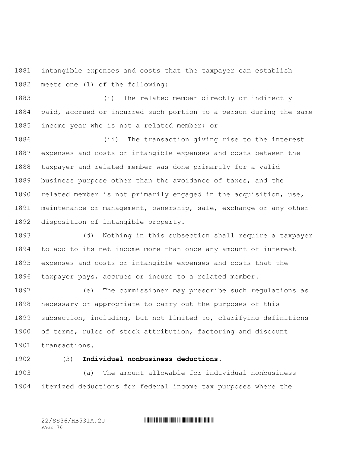intangible expenses and costs that the taxpayer can establish meets one (1) of the following:

 (i) The related member directly or indirectly paid, accrued or incurred such portion to a person during the same income year who is not a related member; or

 (ii) The transaction giving rise to the interest expenses and costs or intangible expenses and costs between the taxpayer and related member was done primarily for a valid business purpose other than the avoidance of taxes, and the related member is not primarily engaged in the acquisition, use, maintenance or management, ownership, sale, exchange or any other disposition of intangible property.

 (d) Nothing in this subsection shall require a taxpayer to add to its net income more than once any amount of interest expenses and costs or intangible expenses and costs that the taxpayer pays, accrues or incurs to a related member.

 (e) The commissioner may prescribe such regulations as necessary or appropriate to carry out the purposes of this subsection, including, but not limited to, clarifying definitions of terms, rules of stock attribution, factoring and discount transactions.

(3) **Individual nonbusiness deductions.**

 (a) The amount allowable for individual nonbusiness itemized deductions for federal income tax purposes where the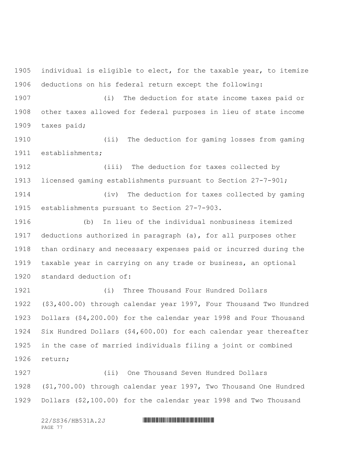individual is eligible to elect, for the taxable year, to itemize deductions on his federal return except the following:

 (i) The deduction for state income taxes paid or other taxes allowed for federal purposes in lieu of state income taxes paid;

 (ii) The deduction for gaming losses from gaming establishments;

 (iii) The deduction for taxes collected by licensed gaming establishments pursuant to Section 27-7-901;

 (iv) The deduction for taxes collected by gaming establishments pursuant to Section 27-7-903.

 (b) In lieu of the individual nonbusiness itemized deductions authorized in paragraph (a), for all purposes other than ordinary and necessary expenses paid or incurred during the taxable year in carrying on any trade or business, an optional standard deduction of:

 (i) Three Thousand Four Hundred Dollars (\$3,400.00) through calendar year 1997, Four Thousand Two Hundred Dollars (\$4,200.00) for the calendar year 1998 and Four Thousand Six Hundred Dollars (\$4,600.00) for each calendar year thereafter in the case of married individuals filing a joint or combined return;

 (ii) One Thousand Seven Hundred Dollars (\$1,700.00) through calendar year 1997, Two Thousand One Hundred Dollars (\$2,100.00) for the calendar year 1998 and Two Thousand

| 22/SS36/HB531A.2J |  |
|-------------------|--|
| PAGE.             |  |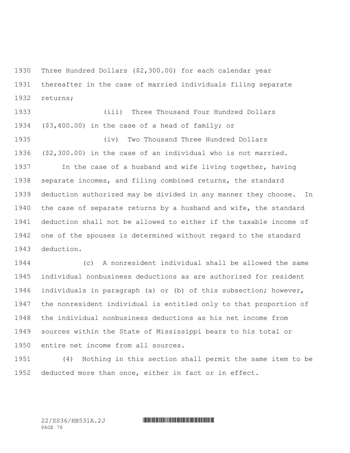Three Hundred Dollars (\$2,300.00) for each calendar year thereafter in the case of married individuals filing separate returns;

 (iii) Three Thousand Four Hundred Dollars (\$3,400.00) in the case of a head of family; or (iv) Two Thousand Three Hundred Dollars (\$2,300.00) in the case of an individual who is not married. In the case of a husband and wife living together, having separate incomes, and filing combined returns, the standard deduction authorized may be divided in any manner they choose. In the case of separate returns by a husband and wife, the standard deduction shall not be allowed to either if the taxable income of one of the spouses is determined without regard to the standard deduction.

 (c) A nonresident individual shall be allowed the same individual nonbusiness deductions as are authorized for resident individuals in paragraph (a) or (b) of this subsection; however, the nonresident individual is entitled only to that proportion of the individual nonbusiness deductions as his net income from sources within the State of Mississippi bears to his total or entire net income from all sources.

 (4) Nothing in this section shall permit the same item to be deducted more than once, either in fact or in effect.

PAGE 78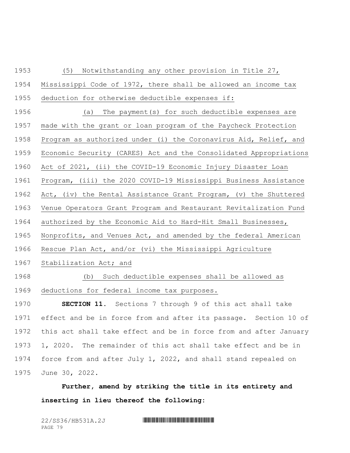(5) Notwithstanding any other provision in Title 27,

 Mississippi Code of 1972, there shall be allowed an income tax deduction for otherwise deductible expenses if:

 (a) The payment(s) for such deductible expenses are made with the grant or loan program of the Paycheck Protection Program as authorized under (i) the Coronavirus Aid, Relief, and Economic Security (CARES) Act and the Consolidated Appropriations Act of 2021, (ii) the COVID-19 Economic Injury Disaster Loan Program, (iii) the 2020 COVID-19 Mississippi Business Assistance Act, (iv) the Rental Assistance Grant Program, (v) the Shuttered Venue Operators Grant Program and Restaurant Revitalization Fund authorized by the Economic Aid to Hard-Hit Small Businesses, Nonprofits, and Venues Act, and amended by the federal American Rescue Plan Act, and/or (vi) the Mississippi Agriculture Stabilization Act; and

(b) Such deductible expenses shall be allowed as

deductions for federal income tax purposes.

 **SECTION 11.** Sections 7 through 9 of this act shall take effect and be in force from and after its passage. Section 10 of this act shall take effect and be in force from and after January 1, 2020. The remainder of this act shall take effect and be in force from and after July 1, 2022, and shall stand repealed on June 30, 2022.

**Further, amend by striking the title in its entirety and inserting in lieu thereof the following:**